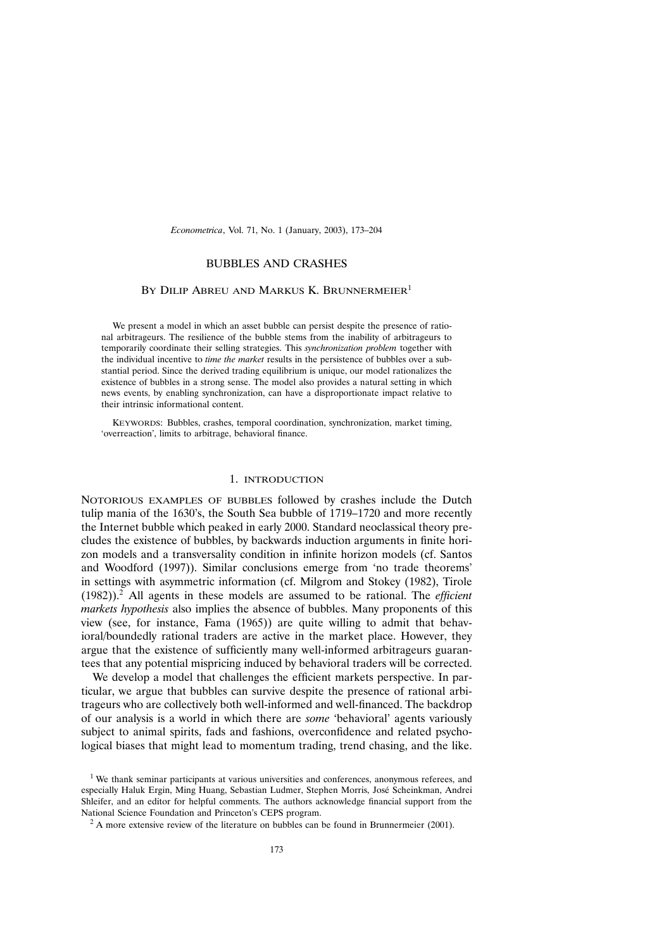# BUBBLES AND CRASHES

## BY DILIP ABREU AND MARKUS K. BRUNNERMEIER<sup>1</sup>

We present a model in which an asset bubble can persist despite the presence of rational arbitrageurs. The resilience of the bubble stems from the inability of arbitrageurs to temporarily coordinate their selling strategies. This synchronization problem together with the individual incentive to time the market results in the persistence of bubbles over a substantial period. Since the derived trading equilibrium is unique, our model rationalizes the existence of bubbles in a strong sense. The model also provides a natural setting in which news events, by enabling synchronization, can have a disproportionate impact relative to their intrinsic informational content.

Keywords: Bubbles, crashes, temporal coordination, synchronization, market timing, 'overreaction', limits to arbitrage, behavioral finance.

### 1. INTRODUCTION

NOTORIOUS EXAMPLES OF BUBBLES followed by crashes include the Dutch tulip mania of the 1630's, the South Sea bubble of 1719–1720 and more recently the Internet bubble which peaked in early 2000. Standard neoclassical theory precludes the existence of bubbles, by backwards induction arguments in finite horizon models and a transversality condition in infinite horizon models (cf. Santos and Woodford (1997)). Similar conclusions emerge from 'no trade theorems' in settings with asymmetric information (cf. Milgrom and Stokey (1982), Tirole  $(1982)$ ).<sup>2</sup> All agents in these models are assumed to be rational. The *efficient* markets hypothesis also implies the absence of bubbles. Many proponents of this view (see, for instance, Fama (1965)) are quite willing to admit that behavioral/boundedly rational traders are active in the market place. However, they argue that the existence of sufficiently many well-informed arbitrageurs guarantees that any potential mispricing induced by behavioral traders will be corrected.

We develop a model that challenges the efficient markets perspective. In particular, we argue that bubbles can survive despite the presence of rational arbitrageurs who are collectively both well-informed and well-financed. The backdrop of our analysis is a world in which there are some 'behavioral' agents variously subject to animal spirits, fads and fashions, overconfidence and related psychological biases that might lead to momentum trading, trend chasing, and the like.

<sup>&</sup>lt;sup>1</sup> We thank seminar participants at various universities and conferences, anonymous referees, and especially Haluk Ergin, Ming Huang, Sebastian Ludmer, Stephen Morris, José Scheinkman, Andrei Shleifer, and an editor for helpful comments. The authors acknowledge financial support from the National Science Foundation and Princeton's CEPS program.

 $2$  A more extensive review of the literature on bubbles can be found in Brunnermeier (2001).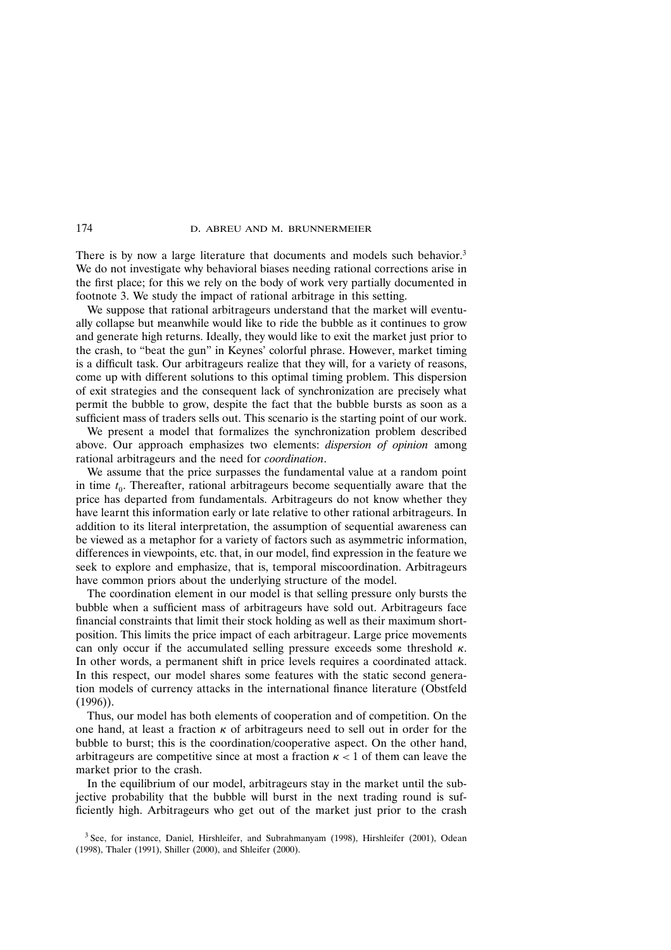There is by now a large literature that documents and models such behavior.<sup>3</sup> We do not investigate why behavioral biases needing rational corrections arise in the first place; for this we rely on the body of work very partially documented in footnote 3. We study the impact of rational arbitrage in this setting.

We suppose that rational arbitrageurs understand that the market will eventually collapse but meanwhile would like to ride the bubble as it continues to grow and generate high returns. Ideally, they would like to exit the market just prior to the crash, to "beat the gun" in Keynes' colorful phrase. However, market timing is a difficult task. Our arbitrageurs realize that they will, for a variety of reasons, come up with different solutions to this optimal timing problem. This dispersion of exit strategies and the consequent lack of synchronization are precisely what permit the bubble to grow, despite the fact that the bubble bursts as soon as a sufficient mass of traders sells out. This scenario is the starting point of our work.

We present a model that formalizes the synchronization problem described above. Our approach emphasizes two elements: dispersion of opinion among rational arbitrageurs and the need for coordination.

We assume that the price surpasses the fundamental value at a random point in time  $t_0$ . Thereafter, rational arbitrageurs become sequentially aware that the price has departed from fundamentals. Arbitrageurs do not know whether they have learnt this information early or late relative to other rational arbitrageurs. In addition to its literal interpretation, the assumption of sequential awareness can be viewed as a metaphor for a variety of factors such as asymmetric information, differences in viewpoints, etc. that, in our model, find expression in the feature we seek to explore and emphasize, that is, temporal miscoordination. Arbitrageurs have common priors about the underlying structure of the model.

The coordination element in our model is that selling pressure only bursts the bubble when a sufficient mass of arbitrageurs have sold out. Arbitrageurs face financial constraints that limit their stock holding as well as their maximum shortposition. This limits the price impact of each arbitrageur. Large price movements can only occur if the accumulated selling pressure exceeds some threshold  $\kappa$ . In other words, a permanent shift in price levels requires a coordinated attack. In this respect, our model shares some features with the static second generation models of currency attacks in the international finance literature (Obstfeld (1996)).

Thus, our model has both elements of cooperation and of competition. On the one hand, at least a fraction  $\kappa$  of arbitrageurs need to sell out in order for the bubble to burst; this is the coordination/cooperative aspect. On the other hand, arbitrageurs are competitive since at most a fraction  $\kappa < 1$  of them can leave the market prior to the crash.

In the equilibrium of our model, arbitrageurs stay in the market until the subjective probability that the bubble will burst in the next trading round is sufficiently high. Arbitrageurs who get out of the market just prior to the crash

<sup>&</sup>lt;sup>3</sup> See, for instance, Daniel, Hirshleifer, and Subrahmanyam (1998), Hirshleifer (2001), Odean (1998), Thaler (1991), Shiller (2000), and Shleifer (2000).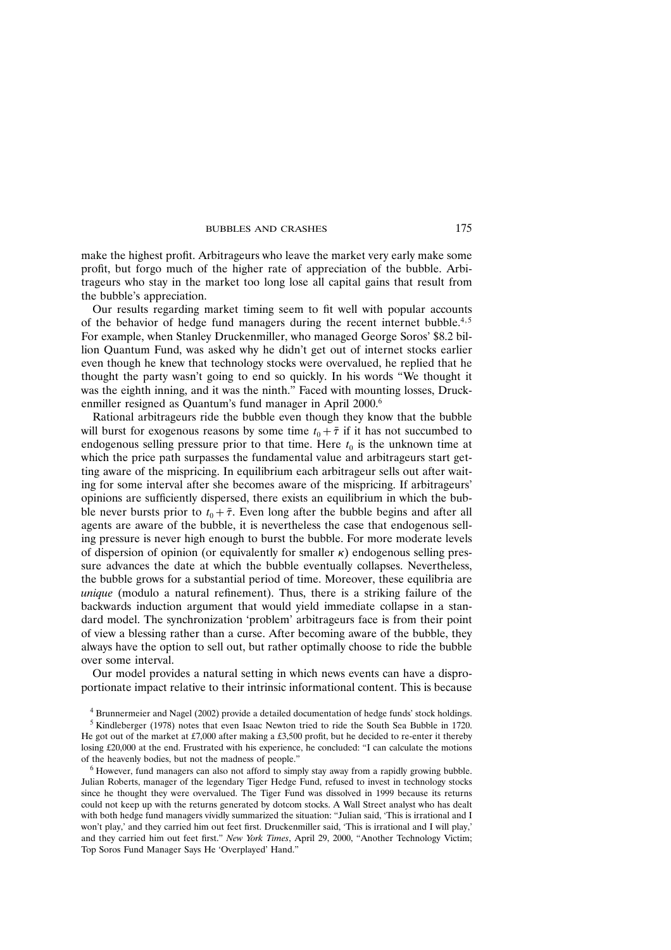make the highest profit. Arbitrageurs who leave the market very early make some profit, but forgo much of the higher rate of appreciation of the bubble. Arbitrageurs who stay in the market too long lose all capital gains that result from the bubble's appreciation.

Our results regarding market timing seem to fit well with popular accounts of the behavior of hedge fund managers during the recent internet bubble.<sup>4,5</sup> For example, when Stanley Druckenmiller, who managed George Soros' \$8.2 billion Quantum Fund, was asked why he didn't get out of internet stocks earlier even though he knew that technology stocks were overvalued, he replied that he thought the party wasn't going to end so quickly. In his words "We thought it was the eighth inning, and it was the ninth." Faced with mounting losses, Druckenmiller resigned as Quantum's fund manager in April 2000.<sup>6</sup>

Rational arbitrageurs ride the bubble even though they know that the bubble will burst for exogenous reasons by some time  $t_0 + \bar{\tau}$  if it has not succumbed to endogenous selling pressure prior to that time. Here  $t_0$  is the unknown time at which the price path surpasses the fundamental value and arbitrageurs start getting aware of the mispricing. In equilibrium each arbitrageur sells out after waiting for some interval after she becomes aware of the mispricing. If arbitrageurs' opinions are sufficiently dispersed, there exists an equilibrium in which the bubble never bursts prior to  $t_0 + \bar{\tau}$ . Even long after the bubble begins and after all agents are aware of the bubble, it is nevertheless the case that endogenous selling pressure is never high enough to burst the bubble. For more moderate levels of dispersion of opinion (or equivalently for smaller  $\kappa$ ) endogenous selling pressure advances the date at which the bubble eventually collapses. Nevertheless, the bubble grows for a substantial period of time. Moreover, these equilibria are unique (modulo a natural refinement). Thus, there is a striking failure of the backwards induction argument that would yield immediate collapse in a standard model. The synchronization 'problem' arbitrageurs face is from their point of view a blessing rather than a curse. After becoming aware of the bubble, they always have the option to sell out, but rather optimally choose to ride the bubble over some interval.

Our model provides a natural setting in which news events can have a disproportionate impact relative to their intrinsic informational content. This is because

<sup>4</sup> Brunnermeier and Nagel (2002) provide a detailed documentation of hedge funds' stock holdings.

<sup>5</sup> Kindleberger (1978) notes that even Isaac Newton tried to ride the South Sea Bubble in 1720. He got out of the market at £7,000 after making a £3,500 profit, but he decided to re-enter it thereby losing £20,000 at the end. Frustrated with his experience, he concluded: "I can calculate the motions of the heavenly bodies, but not the madness of people."

<sup>6</sup> However, fund managers can also not afford to simply stay away from a rapidly growing bubble. Julian Roberts, manager of the legendary Tiger Hedge Fund, refused to invest in technology stocks since he thought they were overvalued. The Tiger Fund was dissolved in 1999 because its returns could not keep up with the returns generated by dotcom stocks. A Wall Street analyst who has dealt with both hedge fund managers vividly summarized the situation: "Julian said, 'This is irrational and I won't play,' and they carried him out feet first. Druckenmiller said, 'This is irrational and I will play,' and they carried him out feet first." New York Times, April 29, 2000, "Another Technology Victim; Top Soros Fund Manager Says He 'Overplayed' Hand."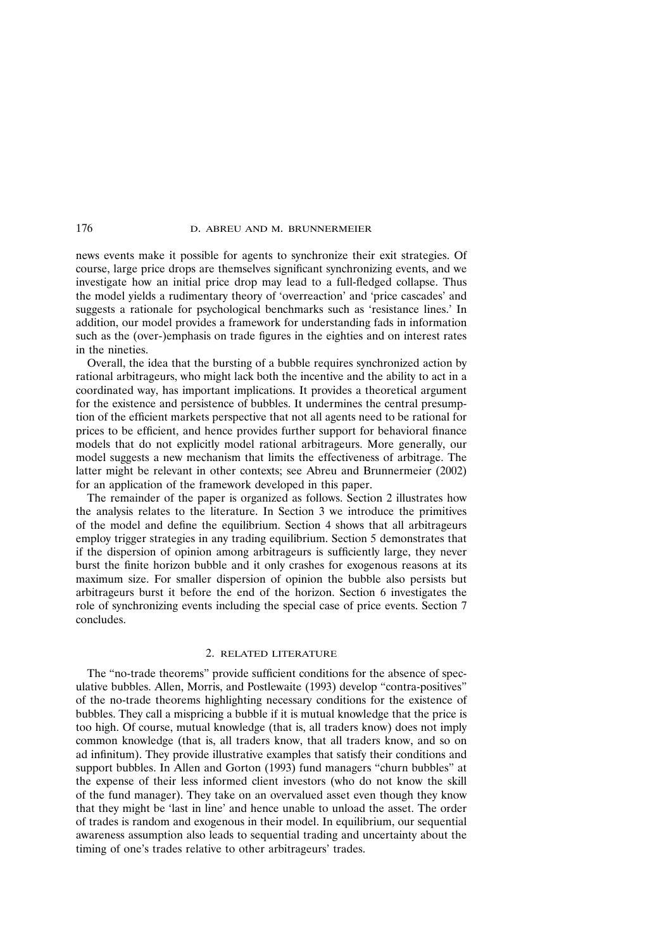news events make it possible for agents to synchronize their exit strategies. Of course, large price drops are themselves significant synchronizing events, and we investigate how an initial price drop may lead to a full-fledged collapse. Thus the model yields a rudimentary theory of 'overreaction' and 'price cascades' and suggests a rationale for psychological benchmarks such as 'resistance lines.' In addition, our model provides a framework for understanding fads in information such as the (over-)emphasis on trade figures in the eighties and on interest rates in the nineties.

Overall, the idea that the bursting of a bubble requires synchronized action by rational arbitrageurs, who might lack both the incentive and the ability to act in a coordinated way, has important implications. It provides a theoretical argument for the existence and persistence of bubbles. It undermines the central presumption of the efficient markets perspective that not all agents need to be rational for prices to be efficient, and hence provides further support for behavioral finance models that do not explicitly model rational arbitrageurs. More generally, our model suggests a new mechanism that limits the effectiveness of arbitrage. The latter might be relevant in other contexts; see Abreu and Brunnermeier (2002) for an application of the framework developed in this paper.

The remainder of the paper is organized as follows. Section 2 illustrates how the analysis relates to the literature. In Section 3 we introduce the primitives of the model and define the equilibrium. Section 4 shows that all arbitrageurs employ trigger strategies in any trading equilibrium. Section 5 demonstrates that if the dispersion of opinion among arbitrageurs is sufficiently large, they never burst the finite horizon bubble and it only crashes for exogenous reasons at its maximum size. For smaller dispersion of opinion the bubble also persists but arbitrageurs burst it before the end of the horizon. Section 6 investigates the role of synchronizing events including the special case of price events. Section 7 concludes.

### 2. RELATED LITERATURE

The "no-trade theorems" provide sufficient conditions for the absence of speculative bubbles. Allen, Morris, and Postlewaite (1993) develop "contra-positives" of the no-trade theorems highlighting necessary conditions for the existence of bubbles. They call a mispricing a bubble if it is mutual knowledge that the price is too high. Of course, mutual knowledge (that is, all traders know) does not imply common knowledge (that is, all traders know, that all traders know, and so on ad infinitum). They provide illustrative examples that satisfy their conditions and support bubbles. In Allen and Gorton (1993) fund managers "churn bubbles" at the expense of their less informed client investors (who do not know the skill of the fund manager). They take on an overvalued asset even though they know that they might be 'last in line' and hence unable to unload the asset. The order of trades is random and exogenous in their model. In equilibrium, our sequential awareness assumption also leads to sequential trading and uncertainty about the timing of one's trades relative to other arbitrageurs' trades.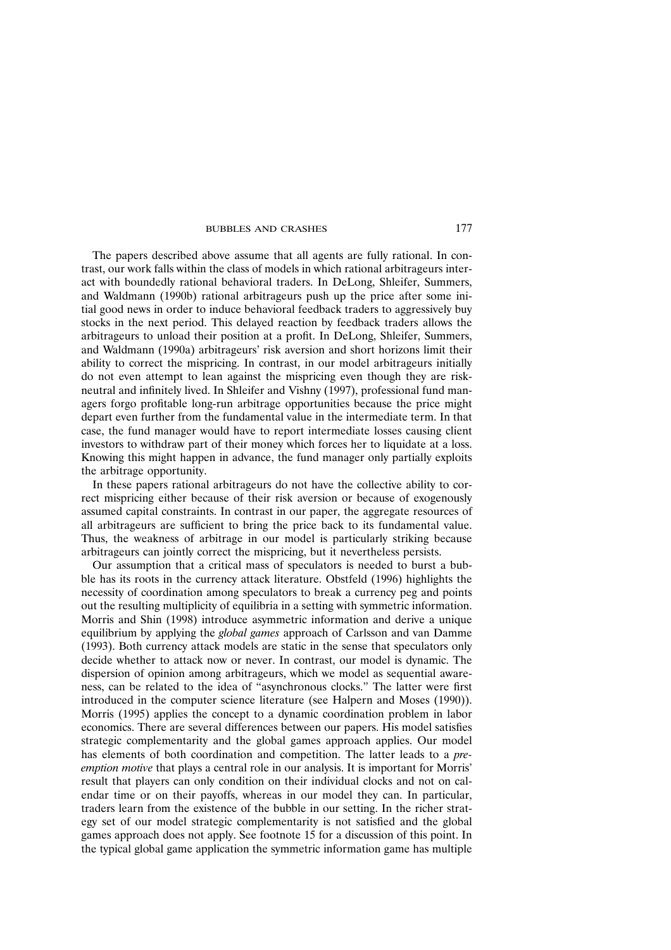The papers described above assume that all agents are fully rational. In contrast, our work falls within the class of models in which rational arbitrageurs interact with boundedly rational behavioral traders. In DeLong, Shleifer, Summers, and Waldmann (1990b) rational arbitrageurs push up the price after some initial good news in order to induce behavioral feedback traders to aggressively buy stocks in the next period. This delayed reaction by feedback traders allows the arbitrageurs to unload their position at a profit. In DeLong, Shleifer, Summers, and Waldmann (1990a) arbitrageurs' risk aversion and short horizons limit their ability to correct the mispricing. In contrast, in our model arbitrageurs initially do not even attempt to lean against the mispricing even though they are riskneutral and infinitely lived. In Shleifer and Vishny (1997), professional fund managers forgo profitable long-run arbitrage opportunities because the price might depart even further from the fundamental value in the intermediate term. In that case, the fund manager would have to report intermediate losses causing client investors to withdraw part of their money which forces her to liquidate at a loss. Knowing this might happen in advance, the fund manager only partially exploits the arbitrage opportunity.

In these papers rational arbitrageurs do not have the collective ability to correct mispricing either because of their risk aversion or because of exogenously assumed capital constraints. In contrast in our paper, the aggregate resources of all arbitrageurs are sufficient to bring the price back to its fundamental value. Thus, the weakness of arbitrage in our model is particularly striking because arbitrageurs can jointly correct the mispricing, but it nevertheless persists.

Our assumption that a critical mass of speculators is needed to burst a bubble has its roots in the currency attack literature. Obstfeld (1996) highlights the necessity of coordination among speculators to break a currency peg and points out the resulting multiplicity of equilibria in a setting with symmetric information. Morris and Shin (1998) introduce asymmetric information and derive a unique equilibrium by applying the global games approach of Carlsson and van Damme (1993). Both currency attack models are static in the sense that speculators only decide whether to attack now or never. In contrast, our model is dynamic. The dispersion of opinion among arbitrageurs, which we model as sequential awareness, can be related to the idea of "asynchronous clocks." The latter were first introduced in the computer science literature (see Halpern and Moses (1990)). Morris (1995) applies the concept to a dynamic coordination problem in labor economics. There are several differences between our papers. His model satisfies strategic complementarity and the global games approach applies. Our model has elements of both coordination and competition. The latter leads to a preemption motive that plays a central role in our analysis. It is important for Morris' result that players can only condition on their individual clocks and not on calendar time or on their payoffs, whereas in our model they can. In particular, traders learn from the existence of the bubble in our setting. In the richer strategy set of our model strategic complementarity is not satisfied and the global games approach does not apply. See footnote 15 for a discussion of this point. In the typical global game application the symmetric information game has multiple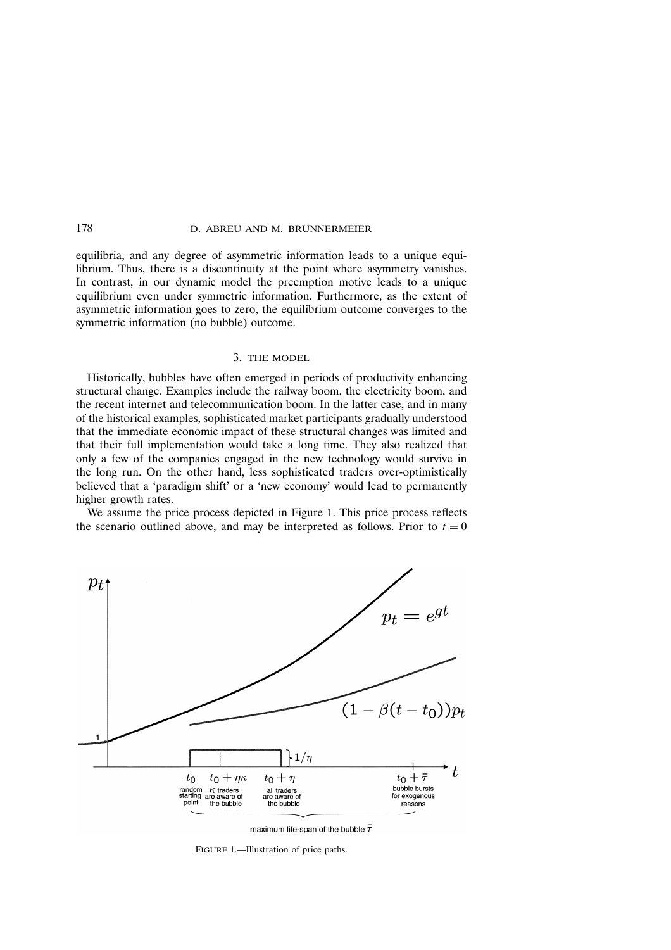equilibria, and any degree of asymmetric information leads to a unique equilibrium. Thus, there is a discontinuity at the point where asymmetry vanishes. In contrast, in our dynamic model the preemption motive leads to a unique equilibrium even under symmetric information. Furthermore, as the extent of asymmetric information goes to zero, the equilibrium outcome converges to the symmetric information (no bubble) outcome.

# 3. THE MODEL

Historically, bubbles have often emerged in periods of productivity enhancing structural change. Examples include the railway boom, the electricity boom, and the recent internet and telecommunication boom. In the latter case, and in many of the historical examples, sophisticated market participants gradually understood that the immediate economic impact of these structural changes was limited and that their full implementation would take a long time. They also realized that only a few of the companies engaged in the new technology would survive in the long run. On the other hand, less sophisticated traders over-optimistically believed that a 'paradigm shift' or a 'new economy' would lead to permanently higher growth rates.

We assume the price process depicted in Figure 1. This price process reflects the scenario outlined above, and may be interpreted as follows. Prior to  $t = 0$ 



maximum life-span of the bubble  $\bar{\tau}$ 

FIGURE 1.—Illustration of price paths.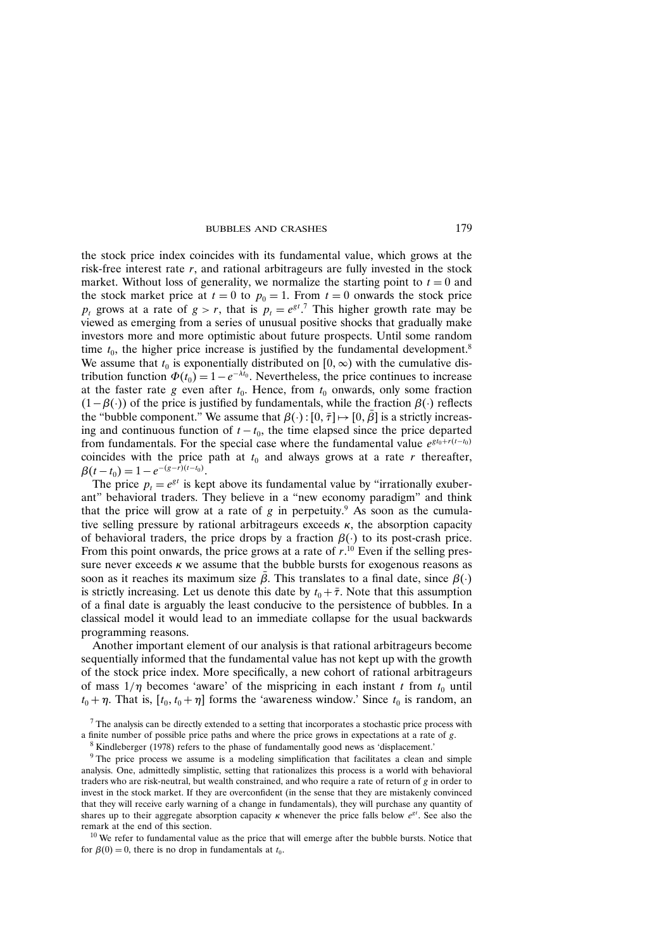the stock price index coincides with its fundamental value, which grows at the risk-free interest rate r, and rational arbitrageurs are fully invested in the stock market. Without loss of generality, we normalize the starting point to  $t = 0$  and the stock market price at  $t = 0$  to  $p_0 = 1$ . From  $t = 0$  onwards the stock price  $p_t$  grows at a rate of  $g > r$ , that is  $p_t = e^{gt}$ . This higher growth rate may be viewed as emerging from a series of unusual positive shocks that gradually make investors more and more optimistic about future prospects. Until some random time  $t_0$ , the higher price increase is justified by the fundamental development.<sup>8</sup> We assume that  $t_0$  is exponentially distributed on  $[0, \infty)$  with the cumulative distribution function  $\Phi(t_0) = 1 - e^{-\lambda t_0}$ . Nevertheless, the price continues to increase at the faster rate g even after  $t_0$ . Hence, from  $t_0$  onwards, only some fraction  $(1 - β(·))$  of the price is justified by fundamentals, while the fraction  $β(·)$  reflects the "bubble component." We assume that  $\beta(\cdot) : [0, \bar{\tau}] \mapsto [0, \beta]$  is a strictly increasing and continuous function of  $t - t_0$ , the time elapsed since the price departed from fundamentals. For the special case where the fundamental value  $e^{gt_0+r(t-t_0)}$ coincides with the price path at  $t_0$  and always grows at a rate r thereafter,  $\beta(t-t_0) = 1 - e^{-(g-r)(t-t_0)}.$ 

The price  $p_t = e^{gt}$  is kept above its fundamental value by "irrationally exuberant" behavioral traders. They believe in a "new economy paradigm" and think that the price will grow at a rate of  $g$  in perpetuity.<sup>9</sup> As soon as the cumulative selling pressure by rational arbitrageurs exceeds  $\kappa$ , the absorption capacity of behavioral traders, the price drops by a fraction  $\beta(\cdot)$  to its post-crash price. From this point onwards, the price grows at a rate of  $r<sup>10</sup>$  Even if the selling pressure never exceeds  $\kappa$  we assume that the bubble bursts for exogenous reasons as soon as it reaches its maximum size  $\beta$ . This translates to a final date, since  $\beta(\cdot)$ is strictly increasing. Let us denote this date by  $t_0 + \bar{\tau}$ . Note that this assumption of a final date is arguably the least conducive to the persistence of bubbles. In a classical model it would lead to an immediate collapse for the usual backwards programming reasons.

Another important element of our analysis is that rational arbitrageurs become sequentially informed that the fundamental value has not kept up with the growth of the stock price index. More specifically, a new cohort of rational arbitrageurs of mass  $1/\eta$  becomes 'aware' of the mispricing in each instant t from  $t_0$  until  $t_0 + \eta$ . That is,  $[t_0, t_0 + \eta]$  forms the 'awareness window.' Since  $t_0$  is random, an

<sup>7</sup> The analysis can be directly extended to a setting that incorporates a stochastic price process with a finite number of possible price paths and where the price grows in expectations at a rate of g.

<sup>8</sup> Kindleberger (1978) refers to the phase of fundamentally good news as 'displacement.'

<sup>9</sup> The price process we assume is a modeling simplification that facilitates a clean and simple analysis. One, admittedly simplistic, setting that rationalizes this process is a world with behavioral traders who are risk-neutral, but wealth constrained, and who require a rate of return of g in order to invest in the stock market. If they are overconfident (in the sense that they are mistakenly convinced that they will receive early warning of a change in fundamentals), they will purchase any quantity of shares up to their aggregate absorption capacity  $\kappa$  whenever the price falls below  $e^{gt}$ . See also the remark at the end of this section.

 $10$  We refer to fundamental value as the price that will emerge after the bubble bursts. Notice that for  $\beta(0) = 0$ , there is no drop in fundamentals at  $t_0$ .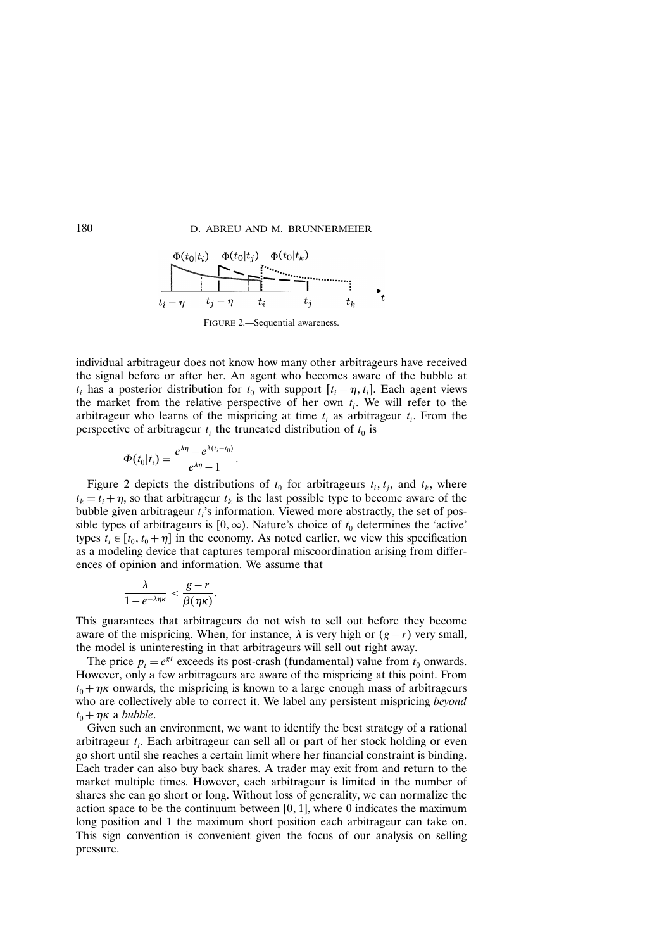

Figure 2.—Sequential awareness.

individual arbitrageur does not know how many other arbitrageurs have received the signal before or after her. An agent who becomes aware of the bubble at  $t_i$  has a posterior distribution for  $t_0$  with support  $[t_i - \eta, t_i]$ . Each agent views the market from the relative perspective of her own  $t_i$ . We will refer to the arbitrageur who learns of the mispricing at time  $t_i$  as arbitrageur  $t_i$ . From the perspective of arbitrageur  $t_i$  the truncated distribution of  $t_0$  is

$$
\Phi(t_0|t_i)=\frac{e^{\lambda\eta}-e^{\lambda(t_i-t_0)}}{e^{\lambda\eta}-1}.
$$

Figure 2 depicts the distributions of  $t_0$  for arbitrageurs  $t_i, t_j$ , and  $t_k$ , where  $t_k = t_i + \eta$ , so that arbitrageur  $t_k$  is the last possible type to become aware of the bubble given arbitrageur  $t_i$ 's information. Viewed more abstractly, the set of possible types of arbitrageurs is  $[0, \infty)$ . Nature's choice of  $t_0$  determines the 'active' types  $t_i \in [t_0, t_0 + \eta]$  in the economy. As noted earlier, we view this specification as a modeling device that captures temporal miscoordination arising from differences of opinion and information. We assume that

$$
\frac{\lambda}{1-e^{-\lambda\eta\kappa}}<\frac{g-r}{\beta(\eta\kappa)}.
$$

This guarantees that arbitrageurs do not wish to sell out before they become aware of the mispricing. When, for instance,  $\lambda$  is very high or  $(g - r)$  very small, the model is uninteresting in that arbitrageurs will sell out right away.

The price  $p_t = e^{gt}$  exceeds its post-crash (fundamental) value from  $t_0$  onwards. However, only a few arbitrageurs are aware of the mispricing at this point. From  $t_0 + \eta \kappa$  onwards, the mispricing is known to a large enough mass of arbitrageurs who are collectively able to correct it. We label any persistent mispricing beyond  $t_0 + \eta \kappa$  a bubble.

Given such an environment, we want to identify the best strategy of a rational arbitrageur  $t_i$ . Each arbitrageur can sell all or part of her stock holding or even go short until she reaches a certain limit where her financial constraint is binding. Each trader can also buy back shares. A trader may exit from and return to the market multiple times. However, each arbitrageur is limited in the number of shares she can go short or long. Without loss of generality, we can normalize the action space to be the continuum between  $[0, 1]$ , where 0 indicates the maximum long position and 1 the maximum short position each arbitrageur can take on. This sign convention is convenient given the focus of our analysis on selling pressure.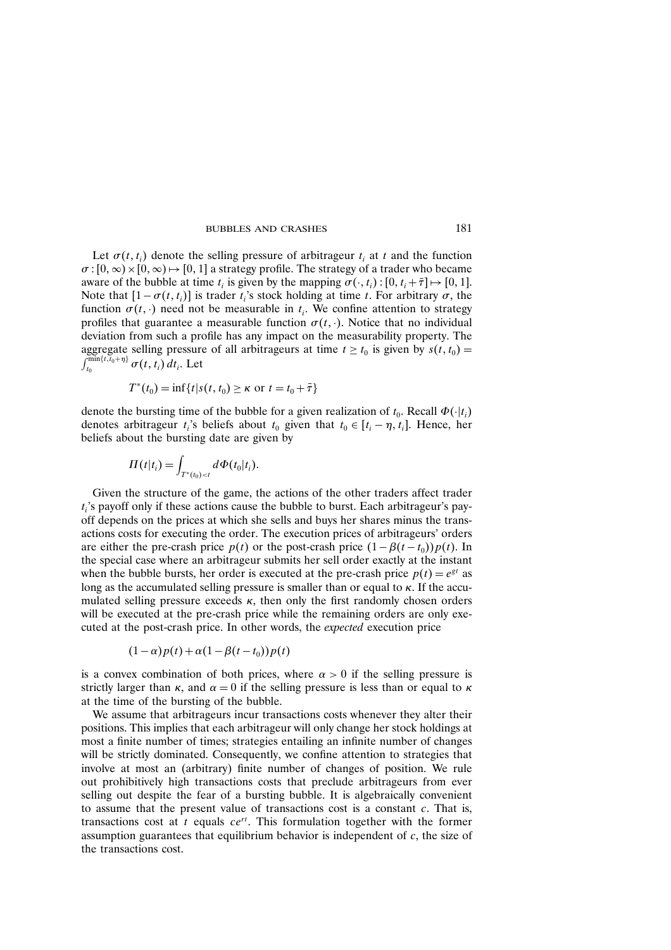Let  $\sigma(t, t_i)$  denote the selling pressure of arbitrageur  $t_i$  at t and the function  $\sigma:[0,\infty)\times[0,\infty)\mapsto[0,1]$  a strategy profile. The strategy of a trader who became aware of the bubble at time  $t_i$  is given by the mapping  $\sigma(\cdot, t_i) : [0, t_i + \overline{\tau}] \mapsto [0, 1]$ . Note that  $[1 - \sigma(t, t_i)]$  is trader t<sub>i</sub>'s stock holding at time t. For arbitrary  $\sigma$ , the function  $\sigma(t, \cdot)$  need not be measurable in t<sub>i</sub>. We confine attention to strategy profiles that guarantee a measurable function  $\sigma(t, \cdot)$ . Notice that no individual deviation from such a profile has any impact on the measurability property. The deviation from such a profile has any impact on the measurability property. The aggregate selling pressure of all arbitrageurs at time  $t \ge t_0$  is given by  $s(t, t_0) =$   $\int_{t_0}^{\min\{t, t_0 + \eta\}} \sigma(t, t_i) dt_i$ . Let

$$
T^*(t_0) = \inf\{t | s(t, t_0) \ge \kappa \text{ or } t = t_0 + \bar{\tau}\}\
$$

denote the bursting time of the bubble for a given realization of  $t_0$ . Recall  $\Phi(\cdot|t_i)$ denotes arbitrageur  $t_i$ 's beliefs about  $t_0$  given that  $t_0 \in [t_i - \eta, t_i]$ . Hence, her beliefs about the bursting date are given by

$$
\Pi(t|t_i) = \int_{T^*(t_0) < t} d\Phi(t_0|t_i).
$$

Given the structure of the game, the actions of the other traders affect trader  $t_i$ 's payoff only if these actions cause the bubble to burst. Each arbitrageur's payoff depends on the prices at which she sells and buys her shares minus the transactions costs for executing the order. The execution prices of arbitrageurs' orders are either the pre-crash price  $p(t)$  or the post-crash price  $(1 - \beta(t - t_0))p(t)$ . In the special case where an arbitrageur submits her sell order exactly at the instant when the bubble bursts, her order is executed at the pre-crash price  $p(t) = e^{gt}$  as long as the accumulated selling pressure is smaller than or equal to  $\kappa$ . If the accumulated selling pressure exceeds  $\kappa$ , then only the first randomly chosen orders will be executed at the pre-crash price while the remaining orders are only executed at the post-crash price. In other words, the expected execution price

$$
(1-\alpha)p(t) + \alpha(1-\beta(t-t_0))p(t)
$$

is a convex combination of both prices, where  $\alpha > 0$  if the selling pressure is strictly larger than  $\kappa$ , and  $\alpha = 0$  if the selling pressure is less than or equal to  $\kappa$ at the time of the bursting of the bubble.

We assume that arbitrageurs incur transactions costs whenever they alter their positions. This implies that each arbitrageur will only change her stock holdings at most a finite number of times; strategies entailing an infinite number of changes will be strictly dominated. Consequently, we confine attention to strategies that involve at most an (arbitrary) finite number of changes of position. We rule out prohibitively high transactions costs that preclude arbitrageurs from ever selling out despite the fear of a bursting bubble. It is algebraically convenient to assume that the present value of transactions cost is a constant  $c$ . That is, transactions cost at t equals  $ce^{rt}$ . This formulation together with the former assumption guarantees that equilibrium behavior is independent of c, the size of the transactions cost.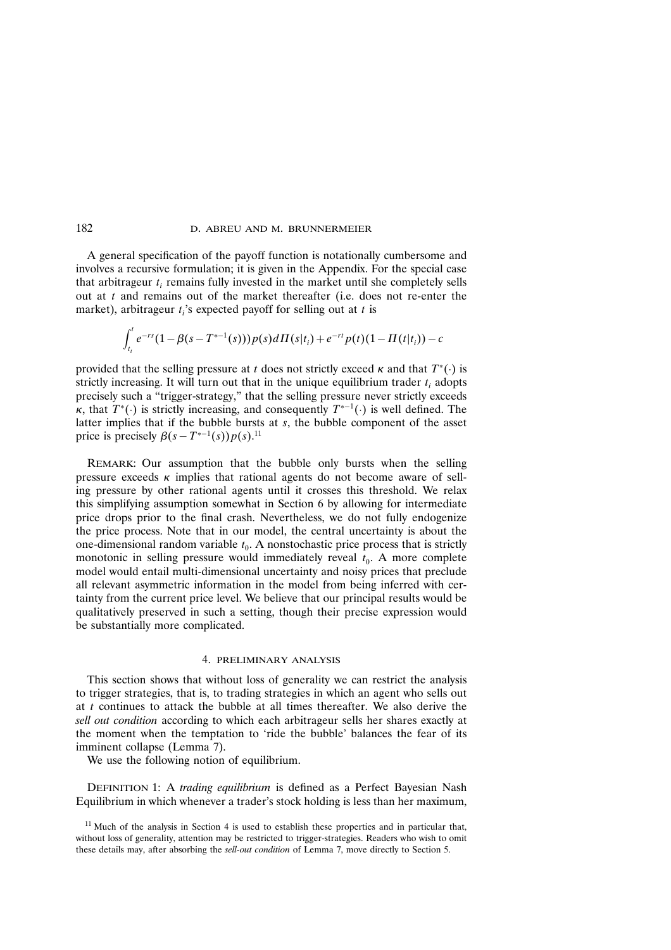A general specification of the payoff function is notationally cumbersome and involves a recursive formulation; it is given in the Appendix. For the special case that arbitrageur  $t_i$  remains fully invested in the market until she completely sells out at  $t$  and remains out of the market thereafter (i.e. does not re-enter the market), arbitrageur  $t_i$ 's expected payoff for selling out at t is

$$
\int_{t_i}^t e^{-rs} (1-\beta(s-T^{*-1}(s))) p(s) d\pi(s|t_i) + e^{-rt} p(t) (1-\pi(t|t_i)) - c
$$

provided that the selling pressure at t does not strictly exceed  $\kappa$  and that  $T^*(\cdot)$  is strictly increasing. It will turn out that in the unique equilibrium trader  $t_i$  adopts precisely such a "trigger-strategy," that the selling pressure never strictly exceeds  $\kappa$ , that  $T^*(\cdot)$  is strictly increasing, and consequently  $T^{*-1}(\cdot)$  is well defined. The latter implies that if the bubble bursts at s, the bubble component of the asset price is precisely  $\beta(s-T^{*-1}(s))p(s).^{11}$ 

REMARK: Our assumption that the bubble only bursts when the selling pressure exceeds  $\kappa$  implies that rational agents do not become aware of selling pressure by other rational agents until it crosses this threshold. We relax this simplifying assumption somewhat in Section 6 by allowing for intermediate price drops prior to the final crash. Nevertheless, we do not fully endogenize the price process. Note that in our model, the central uncertainty is about the one-dimensional random variable  $t_0$ . A nonstochastic price process that is strictly monotonic in selling pressure would immediately reveal  $t_0$ . A more complete model would entail multi-dimensional uncertainty and noisy prices that preclude all relevant asymmetric information in the model from being inferred with certainty from the current price level. We believe that our principal results would be qualitatively preserved in such a setting, though their precise expression would be substantially more complicated.

## 4. PRELIMINARY ANALYSIS

This section shows that without loss of generality we can restrict the analysis to trigger strategies, that is, to trading strategies in which an agent who sells out at t continues to attack the bubble at all times thereafter. We also derive the sell out condition according to which each arbitrageur sells her shares exactly at the moment when the temptation to 'ride the bubble' balances the fear of its imminent collapse (Lemma 7).

We use the following notion of equilibrium.

DEFINITION 1: A trading equilibrium is defined as a Perfect Bayesian Nash Equilibrium in which whenever a trader's stock holding is less than her maximum,

 $11$  Much of the analysis in Section 4 is used to establish these properties and in particular that, without loss of generality, attention may be restricted to trigger-strategies. Readers who wish to omit these details may, after absorbing the sell-out condition of Lemma 7, move directly to Section 5.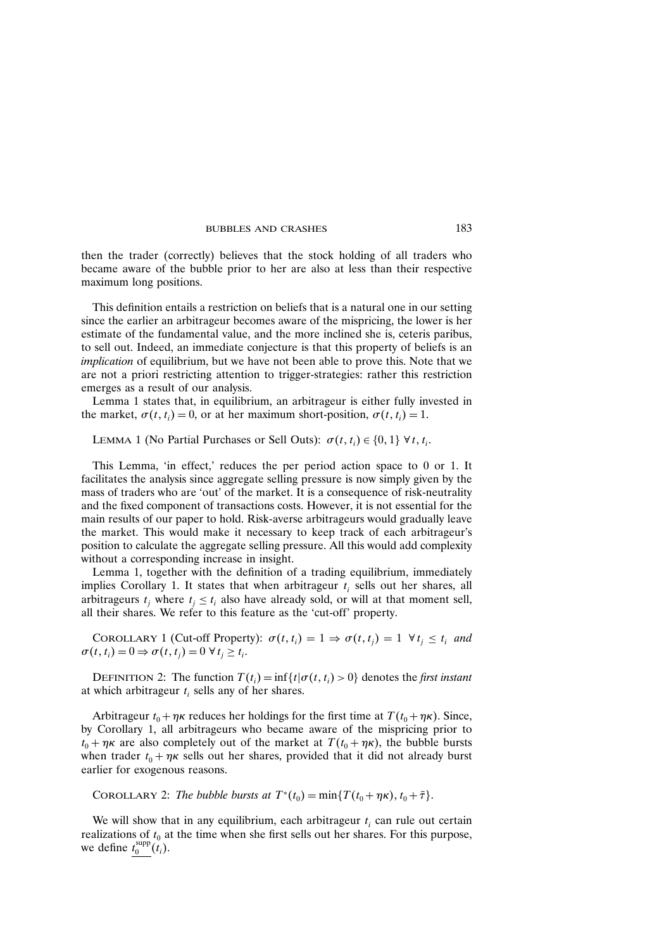then the trader (correctly) believes that the stock holding of all traders who became aware of the bubble prior to her are also at less than their respective maximum long positions.

This definition entails a restriction on beliefs that is a natural one in our setting since the earlier an arbitrageur becomes aware of the mispricing, the lower is her estimate of the fundamental value, and the more inclined she is, ceteris paribus, to sell out. Indeed, an immediate conjecture is that this property of beliefs is an implication of equilibrium, but we have not been able to prove this. Note that we are not a priori restricting attention to trigger-strategies: rather this restriction emerges as a result of our analysis.

Lemma 1 states that, in equilibrium, an arbitrageur is either fully invested in the market,  $\sigma(t, t_i) = 0$ , or at her maximum short-position,  $\sigma(t, t_i) = 1$ .

LEMMA 1 (No Partial Purchases or Sell Outs):  $\sigma(t, t_i) \in \{0, 1\} \ \forall t, t_i$ .

This Lemma, 'in effect,' reduces the per period action space to 0 or 1. It facilitates the analysis since aggregate selling pressure is now simply given by the mass of traders who are 'out' of the market. It is a consequence of risk-neutrality and the fixed component of transactions costs. However, it is not essential for the main results of our paper to hold. Risk-averse arbitrageurs would gradually leave the market. This would make it necessary to keep track of each arbitrageur's position to calculate the aggregate selling pressure. All this would add complexity without a corresponding increase in insight.

Lemma 1, together with the definition of a trading equilibrium, immediately implies Corollary 1. It states that when arbitrageur  $t_i$  sells out her shares, all arbitrageurs  $t_i$ , where  $t_i \leq t_i$  also have already sold, or will at that moment sell, all their shares. We refer to this feature as the 'cut-off' property.

COROLLARY 1 (Cut-off Property):  $\sigma(t, t_i) = 1 \Rightarrow \sigma(t, t_i) = 1 \forall t_i \leq t_i$  and  $\sigma(t, t_i) = 0 \Rightarrow \sigma(t, t_i) = 0 \forall t_i \geq t_i.$ 

DEFINITION 2: The function  $T(t_i) = \inf\{t | \sigma(t, t_i) > 0\}$  denotes the first instant at which arbitrageur  $t_i$  sells any of her shares.

Arbitrageur  $t_0 + \eta \kappa$  reduces her holdings for the first time at  $T(t_0 + \eta \kappa)$ . Since, by Corollary 1, all arbitrageurs who became aware of the mispricing prior to  $t_0 + \eta \kappa$  are also completely out of the market at  $T(t_0 + \eta \kappa)$ , the bubble bursts when trader  $t_0 + \eta \kappa$  sells out her shares, provided that it did not already burst earlier for exogenous reasons.

COROLLARY 2: The bubble bursts at  $T^*(t_0) = \min\{T(t_0 + \eta\kappa), t_0 + \overline{\tau}\}.$ 

We will show that in any equilibrium, each arbitrageur  $t_i$  can rule out certain realizations of  $t_0$  at the time when she first sells out her shares. For this purpose, we define  $t_0^{\text{supp}}(t_i)$ .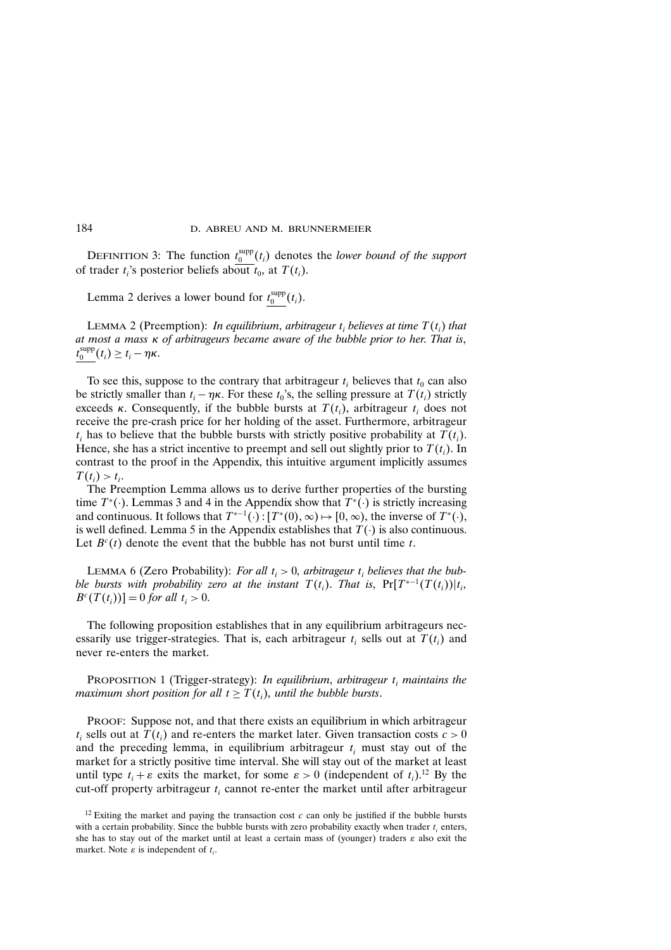DEFINITION 3: The function  $t_0^{supp}(t_i)$  denotes the *lower bound of the support* of trader  $t_i$ 's posterior beliefs about  $t_0$ , at  $T(t_i)$ .

Lemma 2 derives a lower bound for  $t_0^{\text{supp}}(t_i)$ .

LEMMA 2 (Preemption): In equilibrium, arbitrageur t<sub>i</sub> believes at time  $T(t_i)$  that at most a mass  $\kappa$  of arbitrageurs became aware of the bubble prior to her. That is,  $t_0^{\text{supp}}(t_i) \geq t_i - \eta \kappa.$ 

To see this, suppose to the contrary that arbitrageur  $t_i$  believes that  $t_0$  can also be strictly smaller than  $t_i - \eta \kappa$ . For these  $t_0$ 's, the selling pressure at  $T(t_i)$  strictly exceeds  $\kappa$ . Consequently, if the bubble bursts at  $T(t_i)$ , arbitrageur  $t_i$  does not receive the pre-crash price for her holding of the asset. Furthermore, arbitrageur  $t_i$  has to believe that the bubble bursts with strictly positive probability at  $T(t_i)$ . Hence, she has a strict incentive to preempt and sell out slightly prior to  $T(t_i)$ . In contrast to the proof in the Appendix, this intuitive argument implicitly assumes  $T(t_i) > t_i$ .

The Preemption Lemma allows us to derive further properties of the bursting time  $T^*$ . Lemmas 3 and 4 in the Appendix show that  $T^*$ .) is strictly increasing and continuous. It follows that  $T^{*-1}(\cdot)$ :  $[T^{*}(0), \infty) \mapsto [0, \infty)$ , the inverse of  $T^{*}(\cdot)$ , is well defined. Lemma 5 in the Appendix establishes that  $T(\cdot)$  is also continuous. Let  $B<sup>c</sup>(t)$  denote the event that the bubble has not burst until time t.

LEMMA 6 (Zero Probability): For all  $t_i > 0$ , arbitrageur  $t_i$  believes that the bubble bursts with probability zero at the instant  $T(t_i)$ . That is,  $Pr[T^{*-1}(T(t_i))]t_i$ ,  $B^{c}(T(t_i))]=0$  for all  $t_i > 0$ .

The following proposition establishes that in any equilibrium arbitrageurs necessarily use trigger-strategies. That is, each arbitrageur  $t_i$  sells out at  $T(t_i)$  and never re-enters the market.

PROPOSITION 1 (Trigger-strategy): In equilibrium, arbitrageur  $t_i$  maintains the maximum short position for all  $t \geq T(t_i)$ , until the bubble bursts.

PROOF: Suppose not, and that there exists an equilibrium in which arbitrageur  $t_i$  sells out at  $T(t_i)$  and re-enters the market later. Given transaction costs  $c > 0$ and the preceding lemma, in equilibrium arbitrageur  $t_i$  must stay out of the market for a strictly positive time interval. She will stay out of the market at least until type  $t_i + \varepsilon$  exits the market, for some  $\varepsilon > 0$  (independent of  $t_i$ ).<sup>12</sup> By the cut-off property arbitrageur  $t_i$  cannot re-enter the market until after arbitrageur

<sup>&</sup>lt;sup>12</sup> Exiting the market and paying the transaction cost  $c$  can only be justified if the bubble bursts with a certain probability. Since the bubble bursts with zero probability exactly when trader  $t_i$  enters, she has to stay out of the market until at least a certain mass of (younger) traders  $\varepsilon$  also exit the market. Note  $\varepsilon$  is independent of  $t_i$ .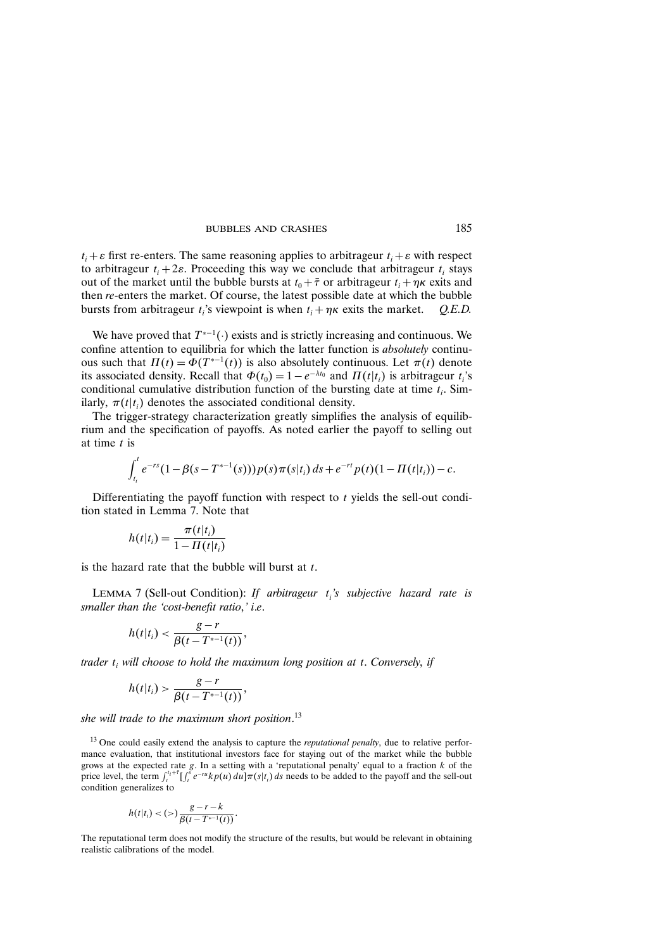$t_i + \varepsilon$  first re-enters. The same reasoning applies to arbitrageur  $t_i + \varepsilon$  with respect to arbitrageur  $t_i + 2\varepsilon$ . Proceeding this way we conclude that arbitrageur  $t_i$  stays out of the market until the bubble bursts at  $t_0 + \bar{\tau}$  or arbitrageur  $t_i + \eta \kappa$  exits and then re-enters the market. Of course, the latest possible date at which the bubble bursts from arbitrageur  $t_i$ 's viewpoint is when  $t_i + \eta \kappa$  exits the market. *Q.E.D.* 

We have proved that  $T^{*-1}(\cdot)$  exists and is strictly increasing and continuous. We confine attention to equilibria for which the latter function is absolutely continuous such that  $\Pi(t) = \Phi(T^{*-1}(t))$  is also absolutely continuous. Let  $\pi(t)$  denote its associated density. Recall that  $\Phi(t_0) = 1 - e^{-\lambda t_0}$  and  $\Pi(t|t_i)$  is arbitrageur t<sub>i</sub>'s conditional cumulative distribution function of the bursting date at time  $t_i$ . Similarly,  $\pi(t|t_i)$  denotes the associated conditional density.

The trigger-strategy characterization greatly simplifies the analysis of equilibrium and the specification of payoffs. As noted earlier the payoff to selling out at time  $t$  is

$$
\int_{t_i}^t e^{-rs}(1-\beta(s-T^{*-1}(s)))p(s)\pi(s|t_i)\,ds + e^{-rt}p(t)(1-\Pi(t|t_i)) - c.
$$

Differentiating the payoff function with respect to  $t$  yields the sell-out condition stated in Lemma 7. Note that

$$
h(t|t_i) = \frac{\pi(t|t_i)}{1 - \Pi(t|t_i)}
$$

is the hazard rate that the bubble will burst at  $t$ .

LEMMA 7 (Sell-out Condition): If arbitrageur  $t_i$ 's subjective hazard rate is smaller than the 'cost-benefit ratio,' i.e.

$$
h(t|t_i) < \frac{g-r}{\beta(t-T^{*-1}(t))},
$$

trader  $t_i$  will choose to hold the maximum long position at t. Conversely, if

$$
h(t|t_i) > \frac{g-r}{\beta(t-T^{*-1}(t))},
$$

she will trade to the maximum short position.<sup>13</sup>

<sup>13</sup> One could easily extend the analysis to capture the *reputational penalty*, due to relative performance evaluation, that institutional investors face for staying out of the market while the bubble grows at the expected rate g. In a setting with a 'reputational penalty' equal to a fraction  $k$  of the price level, the term  $\int_t^{t_i+\bar{\tau}} \left[\int_t^s e^{-ru} k p(u) du\right] \pi(s|t_i) ds$  needs to be added to the payoff and the sell-out condition generalizes to

$$
h(t|t_i) < (>) \frac{g-r-k}{\beta(t-T^{*-1}(t))}.
$$

The reputational term does not modify the structure of the results, but would be relevant in obtaining realistic calibrations of the model.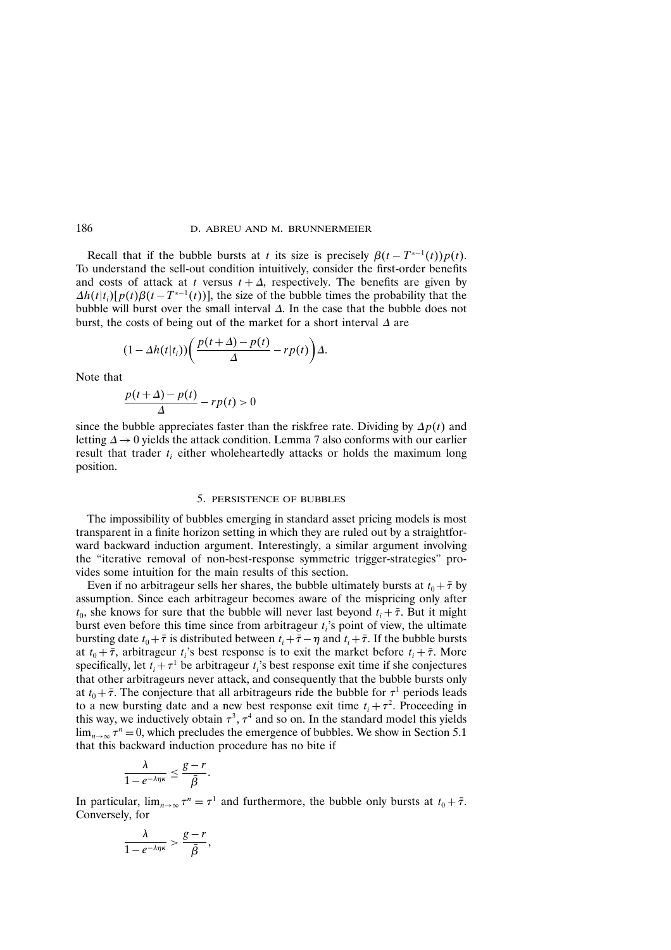Recall that if the bubble bursts at t its size is precisely  $\beta(t - T^{*-1}(t))p(t)$ . To understand the sell-out condition intuitively, consider the first-order benefits and costs of attack at t versus  $t + \Delta$ , respectively. The benefits are given by  $\Delta h(t|t_i)[p(t)\beta(t-T^{*-1}(t))]$ , the size of the bubble times the probability that the bubble will burst over the small interval  $\Delta$ . In the case that the bubble does not burst, the costs of being out of the market for a short interval  $\Delta$  are

$$
(1-\Delta h(t|t_i))\bigg(\frac{p(t+\Delta)-p(t)}{\Delta}-rp(t)\bigg)\Delta.
$$

Note that

$$
\frac{p(t+\Delta)-p(t)}{\Delta}-rp(t)>0
$$

since the bubble appreciates faster than the riskfree rate. Dividing by  $\Delta p(t)$  and letting  $\Delta \rightarrow 0$  yields the attack condition. Lemma 7 also conforms with our earlier result that trader  $t_i$  either wholeheartedly attacks or holds the maximum long position.

## 5. PERSISTENCE OF BUBBLES

The impossibility of bubbles emerging in standard asset pricing models is most transparent in a finite horizon setting in which they are ruled out by a straightforward backward induction argument. Interestingly, a similar argument involving the "iterative removal of non-best-response symmetric trigger-strategies" provides some intuition for the main results of this section.

Even if no arbitrageur sells her shares, the bubble ultimately bursts at  $t_0 + \bar{\tau}$  by assumption. Since each arbitrageur becomes aware of the mispricing only after  $t_0$ , she knows for sure that the bubble will never last beyond  $t_i + \overline{\tau}$ . But it might burst even before this time since from arbitrageur  $t_i$ 's point of view, the ultimate bursting date  $t_0 + \bar{\tau}$  is distributed between  $t_i + \bar{\tau} - \eta$  and  $t_i + \bar{\tau}$ . If the bubble bursts at  $t_0 + \overline{\tau}$ , arbitrageur  $t_i$ 's best response is to exit the market before  $t_i + \overline{\tau}$ . More specifically, let  $t_i + \tau^1$  be arbitrageur  $t_i$ 's best response exit time if she conjectures that other arbitrageurs never attack, and consequently that the bubble bursts only at  $t_0 + \bar{\tau}$ . The conjecture that all arbitrageurs ride the bubble for  $\tau^1$  periods leads to a new bursting date and a new best response exit time  $t_i + \tau^2$ . Proceeding in this way, we inductively obtain  $\tau^3$ ,  $\tau^4$  and so on. In the standard model this yields  $\lim_{n\to\infty} \tau^n = 0$ , which precludes the emergence of bubbles. We show in Section 5.1 that this backward induction procedure has no bite if

$$
\frac{\lambda}{1-e^{-\lambda\eta\kappa}}\leq \frac{g-r}{\bar{\beta}}.
$$

In particular,  $\lim_{n\to\infty} \tau^n = \tau^1$  and furthermore, the bubble only bursts at  $t_0 + \bar{\tau}$ . Conversely, for

$$
\frac{\lambda}{1-e^{-\lambda\eta\kappa}}>\frac{g-r}{\bar{\beta}},
$$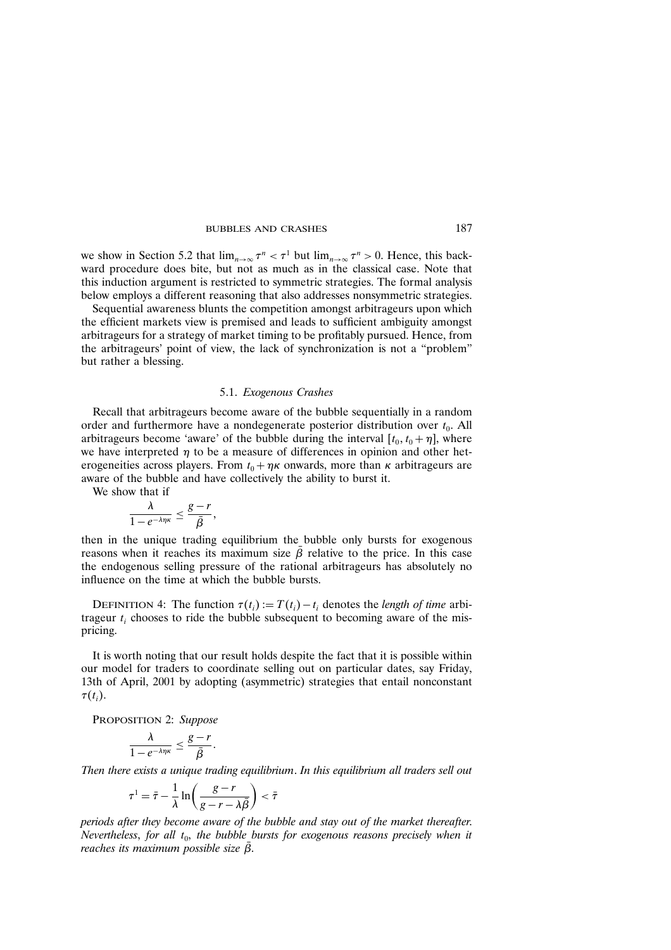we show in Section 5.2 that  $\lim_{n\to\infty} \tau^n < \tau^1$  but  $\lim_{n\to\infty} \tau^n > 0$ . Hence, this backward procedure does bite, but not as much as in the classical case. Note that this induction argument is restricted to symmetric strategies. The formal analysis below employs a different reasoning that also addresses nonsymmetric strategies.

Sequential awareness blunts the competition amongst arbitrageurs upon which the efficient markets view is premised and leads to sufficient ambiguity amongst arbitrageurs for a strategy of market timing to be profitably pursued. Hence, from the arbitrageurs' point of view, the lack of synchronization is not a "problem" but rather a blessing.

## 5.1. Exogenous Crashes

Recall that arbitrageurs become aware of the bubble sequentially in a random order and furthermore have a nondegenerate posterior distribution over  $t_0$ . All arbitrageurs become 'aware' of the bubble during the interval  $[t_0, t_0 + \eta]$ , where we have interpreted  $\eta$  to be a measure of differences in opinion and other heterogeneities across players. From  $t_0 + \eta \kappa$  onwards, more than  $\kappa$  arbitrageurs are aware of the bubble and have collectively the ability to burst it.

We show that if

$$
\frac{\lambda}{1-e^{-\lambda\eta\kappa}}\leq \frac{g-r}{\bar{\beta}},
$$

then in the unique trading equilibrium the bubble only bursts for exogenous reasons when it reaches its maximum size  $\beta$  relative to the price. In this case the endogenous selling pressure of the rational arbitrageurs has absolutely no influence on the time at which the bubble bursts.

DEFINITION 4: The function  $\tau(t_i) := T(t_i) - t_i$  denotes the *length of time* arbitrageur  $t_i$  chooses to ride the bubble subsequent to becoming aware of the mispricing.

It is worth noting that our result holds despite the fact that it is possible within our model for traders to coordinate selling out on particular dates, say Friday, 13th of April, 2001 by adopting (asymmetric) strategies that entail nonconstant  $\tau(t_i)$ .

PROPOSITION 2: Suppose

$$
\frac{\lambda}{1-e^{-\lambda\eta\kappa}}\leq \frac{g-r}{\bar{\beta}}.
$$

Then there exists a unique trading equilibrium. In this equilibrium all traders sell out

$$
\tau^1 = \bar{\tau} - \frac{1}{\lambda} \ln \left( \frac{g - r}{g - r - \lambda \bar{\beta}} \right) < \bar{\tau}
$$

periods after they become aware of the bubble and stay out of the market thereafter. Nevertheless, for all  $t_0$ , the bubble bursts for exogenous reasons precisely when it reaches its maximum possible size  $\beta.$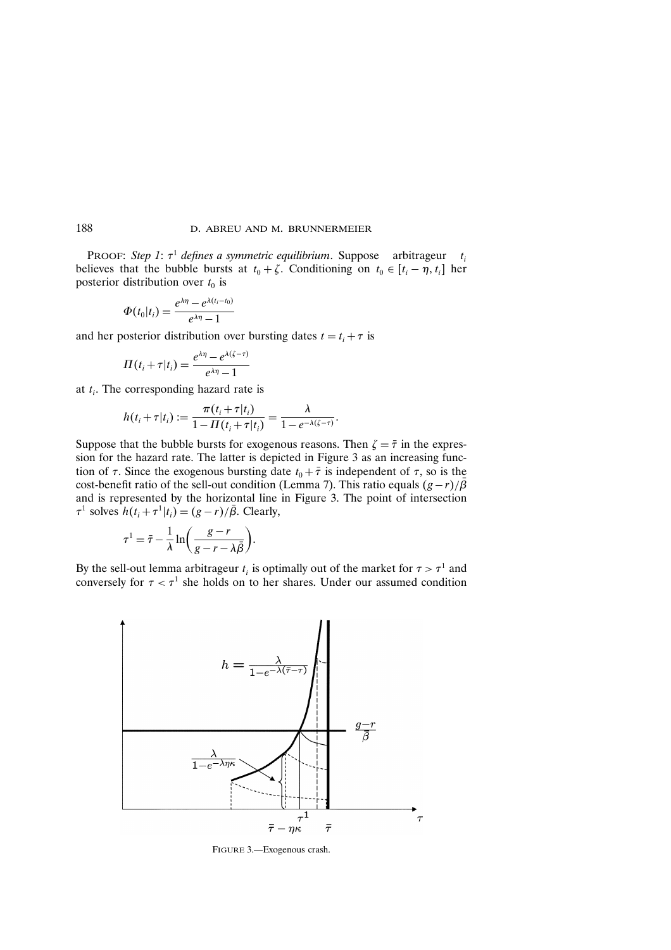PROOF: Step 1:  $\tau^1$  defines a symmetric equilibrium. Suppose arbitrageur  $t_i$ believes that the bubble bursts at  $t_0 + \zeta$ . Conditioning on  $t_0 \in [t_i - \eta, t_i]$  her posterior distribution over  $t_0$  is

$$
\Phi(t_0|t_i) = \frac{e^{\lambda \eta} - e^{\lambda(t_i - t_0)}}{e^{\lambda \eta} - 1}
$$

and her posterior distribution over bursting dates  $t = t_i + \tau$  is

$$
\Pi(t_i + \tau | t_i) = \frac{e^{\lambda \eta} - e^{\lambda(\zeta - \tau)}}{e^{\lambda \eta} - 1}
$$

at  $t_i$ . The corresponding hazard rate is

$$
h(t_i + \tau | t_i) := \frac{\pi(t_i + \tau | t_i)}{1 - \Pi(t_i + \tau | t_i)} = \frac{\lambda}{1 - e^{-\lambda(\zeta - \tau)}}.
$$

Suppose that the bubble bursts for exogenous reasons. Then  $\zeta = \bar{\tau}$  in the expression for the hazard rate. The latter is depicted in Figure 3 as an increasing function of  $\tau$ . Since the exogenous bursting date  $t_0 + \bar{\tau}$  is independent of  $\tau$ , so is the cost-benefit ratio of the sell-out condition (Lemma 7). This ratio equals  $(g-r)/\beta$ and is represented by the horizontal line in Figure 3. The point of intersection  $\tau^1$  solves  $h(t_i + \tau^1 | t_i) = (g - r)/\bar{\beta}$ . Clearly,

$$
\tau^1 = \bar{\tau} - \frac{1}{\lambda} \ln \bigg( \frac{g - r}{g - r - \lambda \bar{\beta}} \bigg).
$$

By the sell-out lemma arbitrageur  $t_i$  is optimally out of the market for  $\tau > \tau^1$  and conversely for  $\tau < \tau^1$  she holds on to her shares. Under our assumed condition



Figure 3.—Exogenous crash.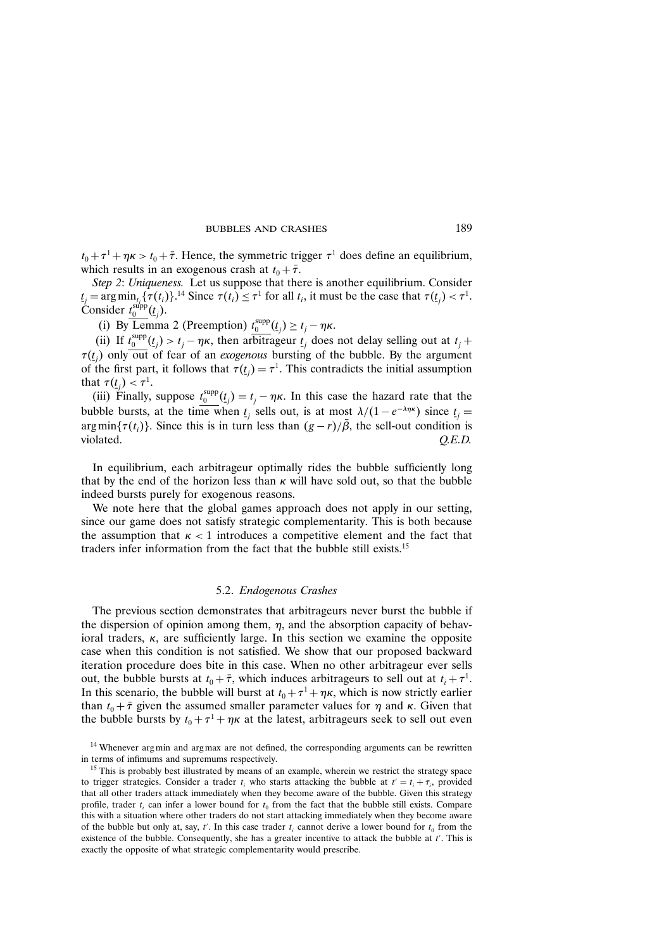$t_0 + \tau^1 + \eta \kappa > t_0 + \bar{\tau}$ . Hence, the symmetric trigger  $\tau^1$  does define an equilibrium, which results in an exogenous crash at  $t_0 + \bar{\tau}$ .

Step 2: Uniqueness. Let us suppose that there is another equilibrium. Consider  $t_j = \arg \min_{t_i} {\{\tau(t_i)\}}^{14}$  Since  $\tau(t_i) \leq \tau^1$  for all  $t_i$ , it must be the case that  $\tau(t_j) < \tau^1$ .<br>Consider  $t^{\text{supp}}(t)$ Consider  $t_0^{l_i}(\underline{t}_j)$ .

(i) By Lemma 2 (Preemption)  $t_0^{\text{supp}}(t_j) \ge t_j - \eta \kappa$ .

(ii) If  $t_0^{supp}(t_j) > t_j - \eta \kappa$ , then arbitrageur  $t_j$  does not delay selling out at  $t_j$  +  $\tau(t_j)$  only out of fear of an *exogenous* bursting of the bubble. By the argument of the first part, it follows that  $\tau(t_j) = \tau^1$ . This contradicts the initial assumption that  $\tau(t) \leq \tau^1$ that  $\tau(\underline{t}_j) < \tau^1$ .

(iii) Finally, suppose  $t_0^{\text{supp}}(t_j) = t_j - \eta \kappa$ . In this case the hazard rate that the bubble bursts, at the time when  $t_j$  sells out, is at most  $\lambda/(1-e^{-\lambda\eta\kappa})$  since  $t_j =$  $arg min\{\tau(t_i)\}\)$ . Since this is in turn less than  $(g-r)/\bar{\beta}$ , the sell-out condition is violated.  $Q.E.D.$ 

In equilibrium, each arbitrageur optimally rides the bubble sufficiently long that by the end of the horizon less than  $\kappa$  will have sold out, so that the bubble indeed bursts purely for exogenous reasons.

We note here that the global games approach does not apply in our setting, since our game does not satisfy strategic complementarity. This is both because the assumption that  $\kappa < 1$  introduces a competitive element and the fact that traders infer information from the fact that the bubble still exists.15

### 5.2. Endogenous Crashes

The previous section demonstrates that arbitrageurs never burst the bubble if the dispersion of opinion among them,  $\eta$ , and the absorption capacity of behavioral traders,  $\kappa$ , are sufficiently large. In this section we examine the opposite case when this condition is not satisfied. We show that our proposed backward iteration procedure does bite in this case. When no other arbitrageur ever sells out, the bubble bursts at  $t_0 + \bar{\tau}$ , which induces arbitrageurs to sell out at  $t_i + \tau^1$ . In this scenario, the bubble will burst at  $t_0 + \tau^1 + \eta \kappa$ , which is now strictly earlier than  $t_0 + \bar{\tau}$  given the assumed smaller parameter values for  $\eta$  and  $\kappa$ . Given that the bubble bursts by  $t_0 + \tau^1 + \eta \kappa$  at the latest, arbitrageurs seek to sell out even

<sup>&</sup>lt;sup>14</sup> Whenever arg min and arg max are not defined, the corresponding arguments can be rewritten in terms of infimums and supremums respectively.

<sup>&</sup>lt;sup>15</sup> This is probably best illustrated by means of an example, wherein we restrict the strategy space to trigger strategies. Consider a trader  $t_i$  who starts attacking the bubble at  $t' = t_i + \tau_i$ , provided that all other traders attack immediately when they become aware of the bubble. Given this strategy profile, trader  $t_i$  can infer a lower bound for  $t_0$  from the fact that the bubble still exists. Compare this with a situation where other traders do not start attacking immediately when they become aware of the bubble but only at, say, t'. In this case trader  $t_i$  cannot derive a lower bound for  $t_0$  from the existence of the bubble. Consequently, she has a greater incentive to attack the bubble at t'. This is exactly the opposite of what strategic complementarity would prescribe.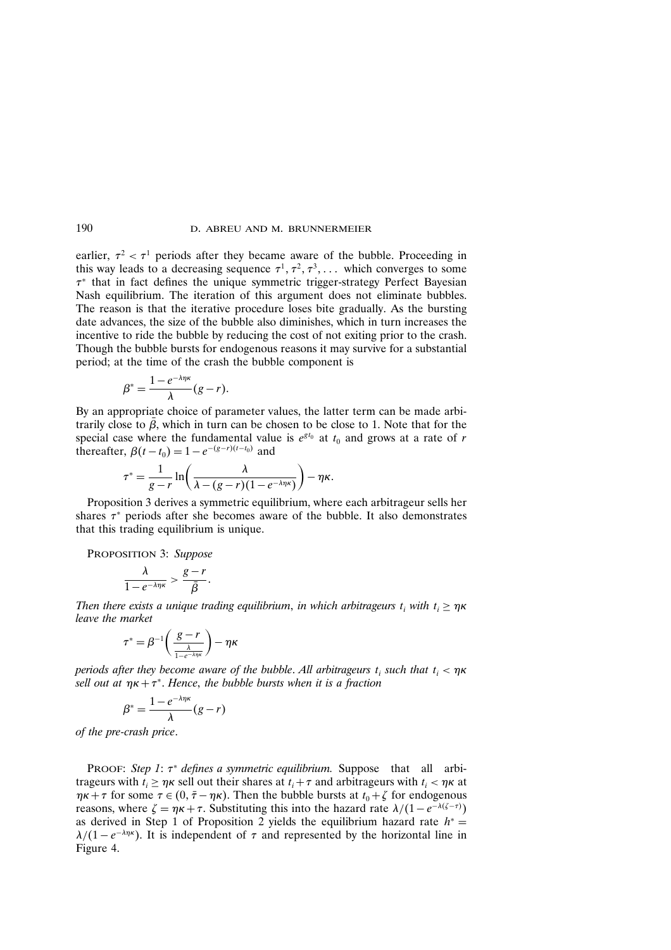earlier,  $\tau^2 < \tau^1$  periods after they became aware of the bubble. Proceeding in this way leads to a decreasing sequence  $\tau^1$ ,  $\tau^2$ ,  $\tau^3$ , ... which converges to some  $\tau^*$  that in fact defines the unique symmetric trigger-strategy Perfect Bayesian Nash equilibrium. The iteration of this argument does not eliminate bubbles. The reason is that the iterative procedure loses bite gradually. As the bursting date advances, the size of the bubble also diminishes, which in turn increases the incentive to ride the bubble by reducing the cost of not exiting prior to the crash. Though the bubble bursts for endogenous reasons it may survive for a substantial period; at the time of the crash the bubble component is

$$
\beta^* = \frac{1 - e^{-\lambda \eta \kappa}}{\lambda} (g - r).
$$

By an appropriate choice of parameter values, the latter term can be made arbitrarily close to  $\beta$ , which in turn can be chosen to be close to 1. Note that for the special case where the fundamental value is  $e^{gt_0}$  at  $t_0$  and grows at a rate of r thereafter,  $\beta(t - t_0) = 1 - e^{-(g - r)(t - t_0)}$  and

$$
\tau^* = \frac{1}{g-r} \ln \left( \frac{\lambda}{\lambda - (g-r)(1 - e^{-\lambda \eta \kappa})} \right) - \eta \kappa.
$$

Proposition 3 derives a symmetric equilibrium, where each arbitrageur sells her shares  $\tau^*$  periods after she becomes aware of the bubble. It also demonstrates that this trading equilibrium is unique.

PROPOSITION 3: Suppose

$$
\frac{\lambda}{1-e^{-\lambda\eta\kappa}}>\frac{g-r}{\bar{\beta}}.
$$

Then there exists a unique trading equilibrium, in which arbitrageurs  $t_i$  with  $t_i \geq \eta \kappa$ leave the market

$$
\tau^* = \beta^{-1} \left( \frac{g - r}{\frac{\lambda}{1 - e^{-\lambda \eta \kappa}}} \right) - \eta \kappa
$$

periods after they become aware of the bubble. All arbitrageurs  $t_i$  such that  $t_i < \eta \kappa$ sell out at  $\eta\kappa+\tau^*.$  Hence, the bubble bursts when it is a fraction

$$
\beta^* = \frac{1 - e^{-\lambda \eta \kappa}}{\lambda} (g - r)
$$

of the pre-crash price.

PROOF: Step 1:  $\tau^*$  defines a symmetric equilibrium. Suppose that all arbitrageurs with  $t_i \ge \eta \kappa$  sell out their shares at  $t_i + \tau$  and arbitrageurs with  $t_i < \eta \kappa$  at  $\eta \kappa + \tau$  for some  $\tau \in (0, \bar{\tau} - \eta \kappa)$ . Then the bubble bursts at  $t_0 + \zeta$  for endogenous reasons, where  $\zeta = \eta \kappa + \tau$ . Substituting this into the hazard rate  $\lambda/(1 - e^{-\lambda(\zeta - \tau)})$ as derived in Step 1 of Proposition 2 yields the equilibrium hazard rate  $h^*$  =  $\lambda/(1-e^{-\lambda\eta\kappa})$ . It is independent of  $\tau$  and represented by the horizontal line in Figure 4.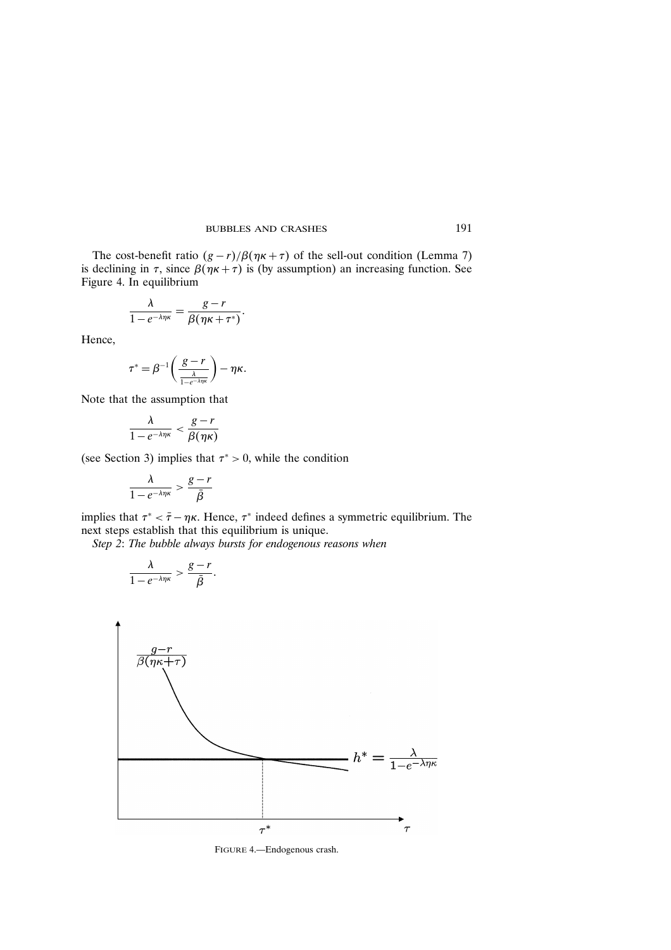The cost-benefit ratio  $(g - r)/\beta(\eta\kappa + \tau)$  of the sell-out condition (Lemma 7) is declining in  $\tau$ , since  $\beta(\eta\kappa+\tau)$  is (by assumption) an increasing function. See Figure 4. In equilibrium

$$
\frac{\lambda}{1-e^{-\lambda\eta\kappa}}=\frac{g-r}{\beta(\eta\kappa+\tau^*)}.
$$

Hence,

$$
\tau^* = \beta^{-1} \left( \frac{g - r}{\frac{\lambda}{1 - e^{-\lambda \eta \kappa}}} \right) - \eta \kappa.
$$

Note that the assumption that

$$
\frac{\lambda}{1-e^{-\lambda\eta\kappa}}<\frac{g-r}{\beta(\eta\kappa)}
$$

(see Section 3) implies that  $\tau^* > 0$ , while the condition

$$
\frac{\lambda}{1-e^{-\lambda\eta\kappa}}>\frac{g-r}{\bar{\beta}}
$$

implies that  $\tau^* < \bar{\tau} - \eta \kappa$ . Hence,  $\tau^*$  indeed defines a symmetric equilibrium. The next steps establish that this equilibrium is unique.

Step 2: The bubble always bursts for endogenous reasons when

$$
\frac{\lambda}{1-e^{-\lambda\eta\kappa}}>\frac{g-r}{\bar{\beta}}.
$$



Figure 4.—Endogenous crash.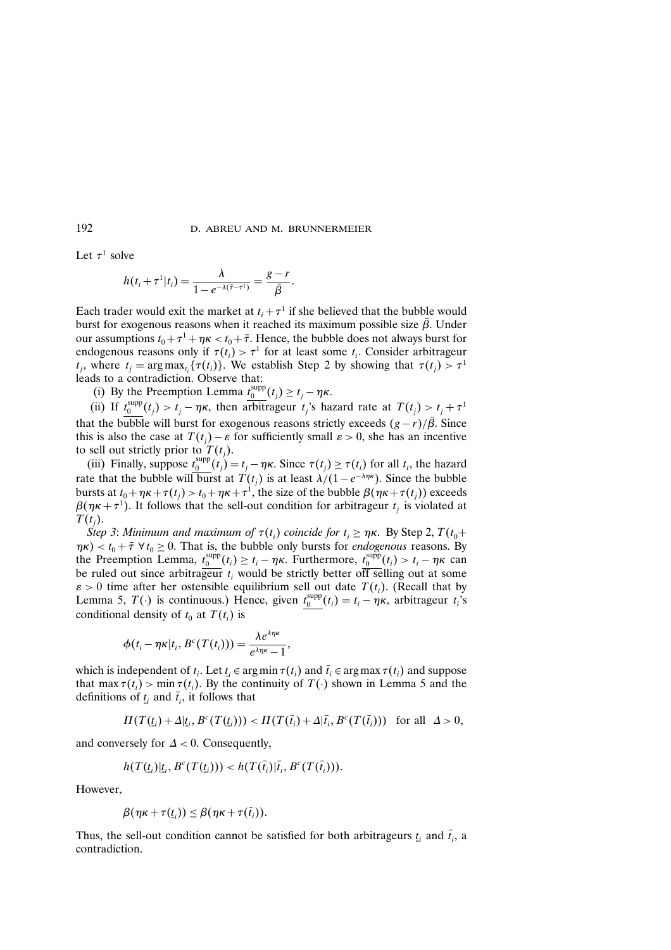Let  $\tau^1$  solve

$$
h(t_i + \tau^1 | t_i) = \frac{\lambda}{1 - e^{-\lambda(\bar{\tau} - \tau^1)}} = \frac{g - r}{\bar{\beta}}.
$$

Each trader would exit the market at  $t_i + \tau^1$  if she believed that the bubble would burst for exogenous reasons when it reached its maximum possible size  $\beta$ . Under our assumptions  $t_0 + \tau^1 + \eta \kappa < t_0 + \bar{\tau}$ . Hence, the bubble does not always burst for endogenous reasons only if  $\tau(t_i) > \tau^1$  for at least some  $t_i$ . Consider arbitrageur  $t_j$ , where  $t_j = \arg \max_{t_i} {\tau(t_i)}$ . We establish Step 2 by showing that  $\tau(t_j) > \tau^1$ leads to a contradiction. Observe that:

(i) By the Preemption Lemma  $t_0^{\text{supp}}(t_j) \ge t_j - \eta \kappa$ .

(ii) If  $t_0^{\text{supp}}(t_j) > t_j - \eta \kappa$ , then arbitrageur  $t_j$ 's hazard rate at  $T(t_j) > t_j + \tau^1$ that the bubble will burst for exogenous reasons strictly exceeds  $(g - r)/\beta$ . Since this is also the case at  $T(t_i) - \varepsilon$  for sufficiently small  $\varepsilon > 0$ , she has an incentive to sell out strictly prior to  $T(t_i)$ .

(iii) Finally, suppose  $t_0^{\text{supp}}(t_j) = t_j - \eta \kappa$ . Since  $\tau(t_j) \ge \tau(t_i)$  for all  $t_i$ , the hazard rate that the bubble will burst at  $T(t_j)$  is at least  $\lambda/(1-e^{-\lambda \eta \kappa})$ . Since the bubble bursts at  $t_0 + \eta \kappa + \tau(t_j) > t_0 + \eta \kappa + \tau^1$ , the size of the bubble  $\beta(\eta \kappa + \tau(t_j))$  exceeds  $\beta(\eta\kappa + \tau^1)$ . It follows that the sell-out condition for arbitrageur  $t_j$  is violated at  $T(t_i)$ .

Step 3: Minimum and maximum of  $\tau(t_i)$  coincide for  $t_i \geq \eta \kappa$ . By Step 2,  $T(t_0 +$  $\eta \kappa$   $(1 + \bar{\tau}) \forall t_0 \geq 0$ . That is, the bubble only bursts for *endogenous* reasons. By the Preemption Lemma,  $t_0^{\text{supp}}(t_i) \ge t_i - \eta \kappa$ . Furthermore,  $t_0^{\text{supp}}(t_i) > t_i - \eta \kappa$  can be ruled out since arbitrageur  $t_i$  would be strictly better off selling out at some  $\varepsilon > 0$  time after her ostensible equilibrium sell out date  $T(t_i)$ . (Recall that by Lemma 5,  $T(\cdot)$  is continuous.) Hence, given  $t_0^{\text{supp}}(t_i) = t_i - \eta \kappa$ , arbitrageur  $t_i$ 's conditional density of  $t_0$  at  $T(t_i)$  is

$$
\phi(t_i - \eta \kappa | t_i, B^c(T(t_i))) = \frac{\lambda e^{\lambda \eta \kappa}}{e^{\lambda \eta \kappa} - 1},
$$

which is independent of  $t_i$ . Let  $t_i \in \arg \min \tau(t_i)$  and  $\bar{t}_i \in \arg \max \tau(t_i)$  and suppose that max  $\tau(t_i)$  > min  $\tau(t_i)$ . By the continuity of  $T(\cdot)$  shown in Lemma 5 and the definitions of  $t_i$  and  $\bar{t}_i$ , it follows that

$$
\Pi(T(t_i)+\Delta|t_i, B^c(T(t_i))) < \Pi(T(\bar{t}_i)+\Delta|\bar{t}_i, B^c(T(\bar{t}_i))) \text{ for all } \Delta > 0,
$$

and conversely for  $\Delta < 0$ . Consequently,

$$
h(T(\underline{t}_i)|\underline{t}_i, B^c(T(\underline{t}_i))) < h(T(\overline{t}_i)|\overline{t}_i, B^c(T(\overline{t}_i))).
$$

However,

$$
\beta(\eta\kappa+\tau(\underline{t}_i))\leq\beta(\eta\kappa+\tau(\overline{t}_i)).
$$

Thus, the sell-out condition cannot be satisfied for both arbitrageurs  $t_i$  and  $\bar{t}_i$ , a contradiction contradiction.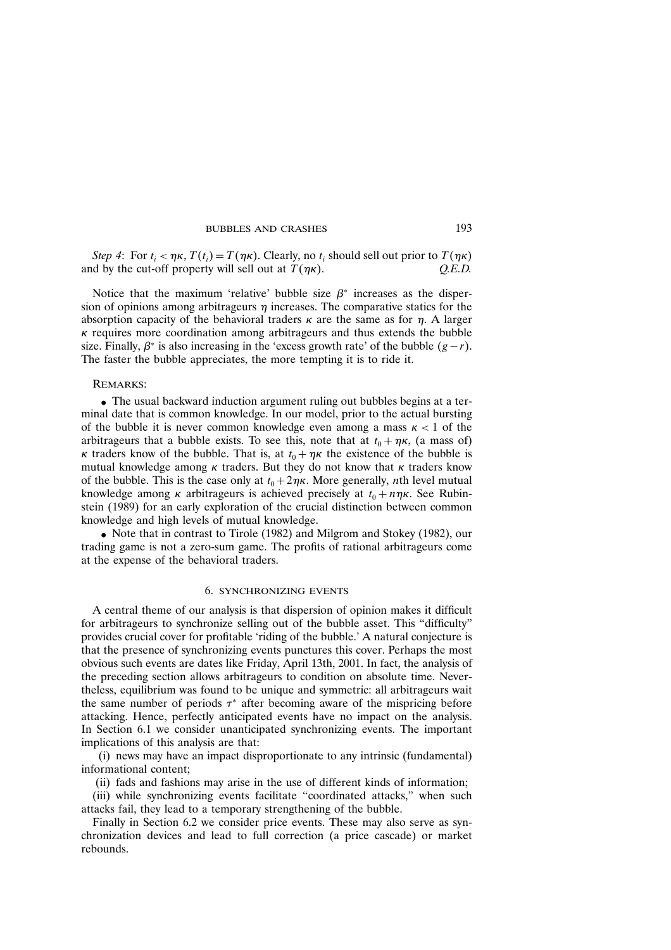Step 4: For  $t_i < \eta \kappa$ ,  $T(t_i) = T(\eta \kappa)$ . Clearly, no  $t_i$  should sell out prior to  $T(\eta \kappa)$ and by the cut-off property will sell out at  $T(\eta\kappa)$ . . Q.E.D.

Notice that the maximum 'relative' bubble size  $\beta^*$  increases as the dispersion of opinions among arbitrageurs  $\eta$  increases. The comparative statics for the absorption capacity of the behavioral traders  $\kappa$  are the same as for  $\eta$ . A larger - requires more coordination among arbitrageurs and thus extends the bubble size. Finally,  $\beta^*$  is also increasing in the 'excess growth rate' of the bubble  $(g-r)$ . The faster the bubble appreciates, the more tempting it is to ride it.

### Remarks:

• The usual backward induction argument ruling out bubbles begins at a terminal date that is common knowledge. In our model, prior to the actual bursting of the bubble it is never common knowledge even among a mass  $\kappa < 1$  of the arbitrageurs that a bubble exists. To see this, note that at  $t_0 + \eta \kappa$ , (a mass of) *k* traders know of the bubble. That is, at  $t_0 + \eta \kappa$  the existence of the bubble is mutual knowledge among  $\kappa$  traders. But they do not know that  $\kappa$  traders know of the bubble. This is the case only at  $t_0 + 2\eta\kappa$ . More generally, *n*th level mutual knowledge among  $\kappa$  arbitrageurs is achieved precisely at  $t_0 + n\eta\kappa$ . See Rubinstein (1989) for an early exploration of the crucial distinction between common knowledge and high levels of mutual knowledge.

• Note that in contrast to Tirole (1982) and Milgrom and Stokey (1982), our trading game is not a zero-sum game. The profits of rational arbitrageurs come at the expense of the behavioral traders.

## 6. SYNCHRONIZING EVENTS

A central theme of our analysis is that dispersion of opinion makes it difficult for arbitrageurs to synchronize selling out of the bubble asset. This "difficulty" provides crucial cover for profitable 'riding of the bubble.' A natural conjecture is that the presence of synchronizing events punctures this cover. Perhaps the most obvious such events are dates like Friday, April 13th, 2001. In fact, the analysis of the preceding section allows arbitrageurs to condition on absolute time. Nevertheless, equilibrium was found to be unique and symmetric: all arbitrageurs wait the same number of periods  $\tau^*$  after becoming aware of the mispricing before attacking. Hence, perfectly anticipated events have no impact on the analysis. In Section 6.1 we consider unanticipated synchronizing events. The important implications of this analysis are that:

(i) news may have an impact disproportionate to any intrinsic (fundamental) informational content;

(ii) fads and fashions may arise in the use of different kinds of information;

(iii) while synchronizing events facilitate "coordinated attacks," when such attacks fail, they lead to a temporary strengthening of the bubble.

Finally in Section 6.2 we consider price events. These may also serve as synchronization devices and lead to full correction (a price cascade) or market rebounds.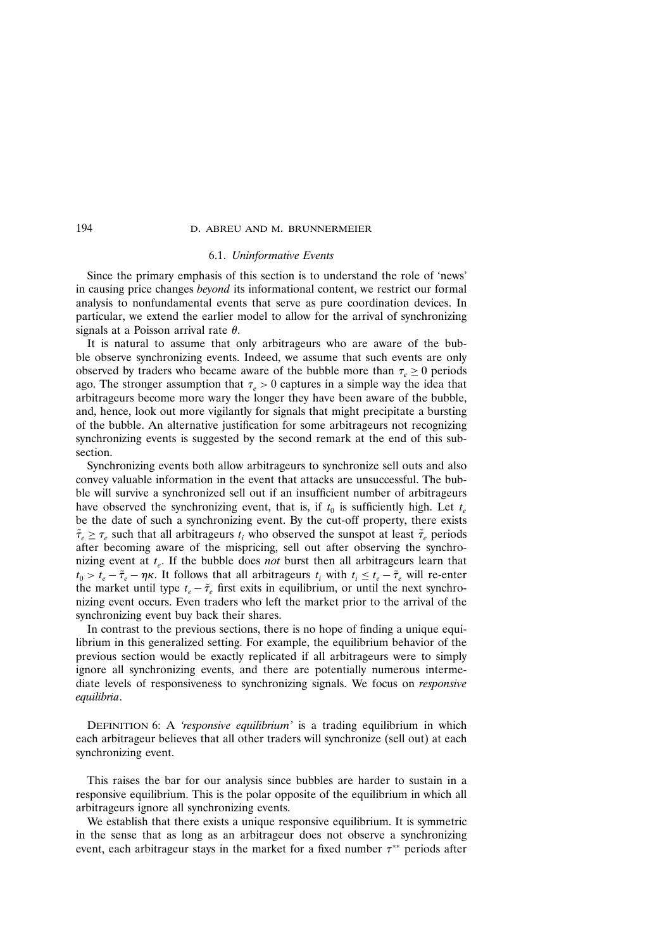### 6.1. Uninformative Events

Since the primary emphasis of this section is to understand the role of 'news' in causing price changes beyond its informational content, we restrict our formal analysis to nonfundamental events that serve as pure coordination devices. In particular, we extend the earlier model to allow for the arrival of synchronizing signals at a Poisson arrival rate  $\theta$ .

It is natural to assume that only arbitrageurs who are aware of the bubble observe synchronizing events. Indeed, we assume that such events are only observed by traders who became aware of the bubble more than  $\tau_e \ge 0$  periods ago. The stronger assumption that  $\tau_e > 0$  captures in a simple way the idea that arbitrageurs become more wary the longer they have been aware of the bubble, and, hence, look out more vigilantly for signals that might precipitate a bursting of the bubble. An alternative justification for some arbitrageurs not recognizing synchronizing events is suggested by the second remark at the end of this subsection.

Synchronizing events both allow arbitrageurs to synchronize sell outs and also convey valuable information in the event that attacks are unsuccessful. The bubble will survive a synchronized sell out if an insufficient number of arbitrageurs have observed the synchronizing event, that is, if  $t_0$  is sufficiently high. Let  $t_e$ be the date of such a synchronizing event. By the cut-off property, there exists  $\tilde{\tau}_{e} \geq \tau_{e}$  such that all arbitrageurs  $t_i$ , who observed the sunspot at least  $\tilde{\tau}_{e}$  periods after becoming aware of the mispricing, sell out after observing the synchronizing event at  $t_e$ . If the bubble does *not* burst then all arbitrageurs learn that  $t_0 > t_e - \tilde{\tau}_e - \eta \kappa$ . It follows that all arbitrageurs  $t_i$  with  $t_i \leq t_e - \tilde{\tau}_e$  will re-enter the market until type  $t_e - \tilde{\tau}_e$  first exits in equilibrium, or until the next synchronizing event occurs. Even traders who left the market prior to the arrival of the synchronizing event buy back their shares.

In contrast to the previous sections, there is no hope of finding a unique equilibrium in this generalized setting. For example, the equilibrium behavior of the previous section would be exactly replicated if all arbitrageurs were to simply ignore all synchronizing events, and there are potentially numerous intermediate levels of responsiveness to synchronizing signals. We focus on responsive equilibria.

DEFINITION 6: A 'responsive equilibrium' is a trading equilibrium in which each arbitrageur believes that all other traders will synchronize (sell out) at each synchronizing event.

This raises the bar for our analysis since bubbles are harder to sustain in a responsive equilibrium. This is the polar opposite of the equilibrium in which all arbitrageurs ignore all synchronizing events.

We establish that there exists a unique responsive equilibrium. It is symmetric in the sense that as long as an arbitrageur does not observe a synchronizing event, each arbitrageur stays in the market for a fixed number  $\tau^{**}$  periods after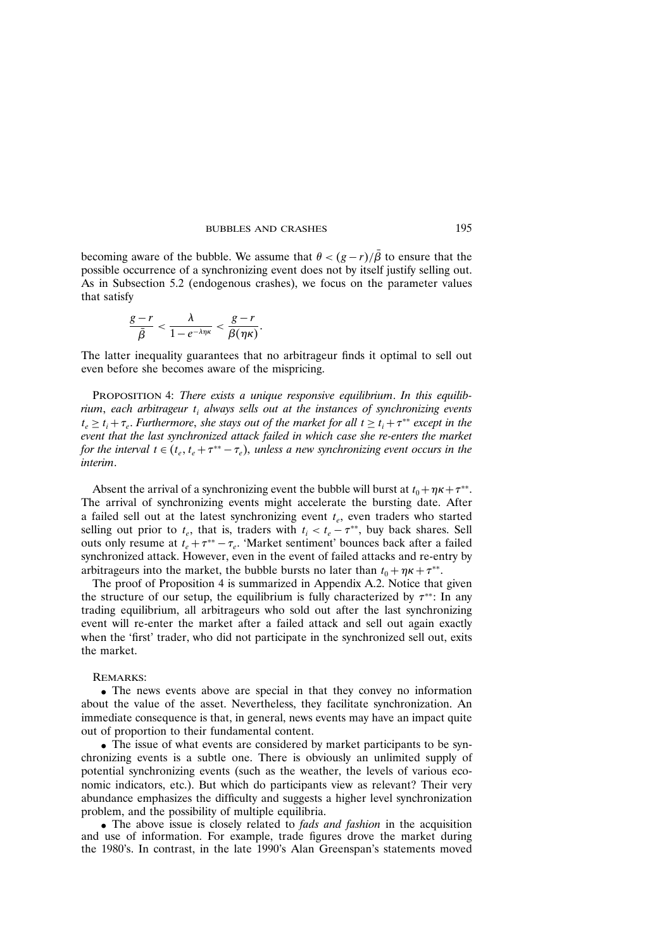becoming aware of the bubble. We assume that  $\theta < (g - r)/\beta$  to ensure that the possible occurrence of a synchronizing event does not by itself justify selling out. As in Subsection 5.2 (endogenous crashes), we focus on the parameter values that satisfy

$$
\frac{g-r}{\bar{\beta}} < \frac{\lambda}{1-e^{-\lambda\eta\kappa}} < \frac{g-r}{\beta(\eta\kappa)}.
$$

The latter inequality guarantees that no arbitrageur finds it optimal to sell out even before she becomes aware of the mispricing.

PROPOSITION 4: There exists a unique responsive equilibrium. In this equilibrium, each arbitrageur  $t_i$  always sells out at the instances of synchronizing events  $t_e \ge t_i + \tau_e$ . Furthermore, she stays out of the market for all  $t \ge t_i + \tau^{**}$  except in the event that the last synchronized attack failed in which case she re-enters the market for the interval  $t \in (t_e, t_e + \tau^{**} - \tau_e)$ , unless a new synchronizing event occurs in the interim.

Absent the arrival of a synchronizing event the bubble will burst at  $t_0 + \eta \kappa + \tau^{**}$ . The arrival of synchronizing events might accelerate the bursting date. After a failed sell out at the latest synchronizing event  $t<sub>e</sub>$ , even traders who started selling out prior to  $t_e$ , that is, traders with  $t_i < t_e - \tau^{**}$ , buy back shares. Sell outs only resume at  $t_e + \tau^{**} - \tau_e$ . 'Market sentiment' bounces back after a failed synchronized attack. However, even in the event of failed attacks and re-entry by arbitrageurs into the market, the bubble bursts no later than  $t_0 + \eta \kappa + \tau^{**}$ .

The proof of Proposition 4 is summarized in Appendix A.2. Notice that given the structure of our setup, the equilibrium is fully characterized by  $\tau^{**}$ : In any trading equilibrium, all arbitrageurs who sold out after the last synchronizing event will re-enter the market after a failed attack and sell out again exactly when the 'first' trader, who did not participate in the synchronized sell out, exits the market.

## Remarks:

• The news events above are special in that they convey no information about the value of the asset. Nevertheless, they facilitate synchronization. An immediate consequence is that, in general, news events may have an impact quite out of proportion to their fundamental content.

• The issue of what events are considered by market participants to be synchronizing events is a subtle one. There is obviously an unlimited supply of potential synchronizing events (such as the weather, the levels of various economic indicators, etc.). But which do participants view as relevant? Their very abundance emphasizes the difficulty and suggests a higher level synchronization problem, and the possibility of multiple equilibria.

• The above issue is closely related to *fads and fashion* in the acquisition and use of information. For example, trade figures drove the market during the 1980's. In contrast, in the late 1990's Alan Greenspan's statements moved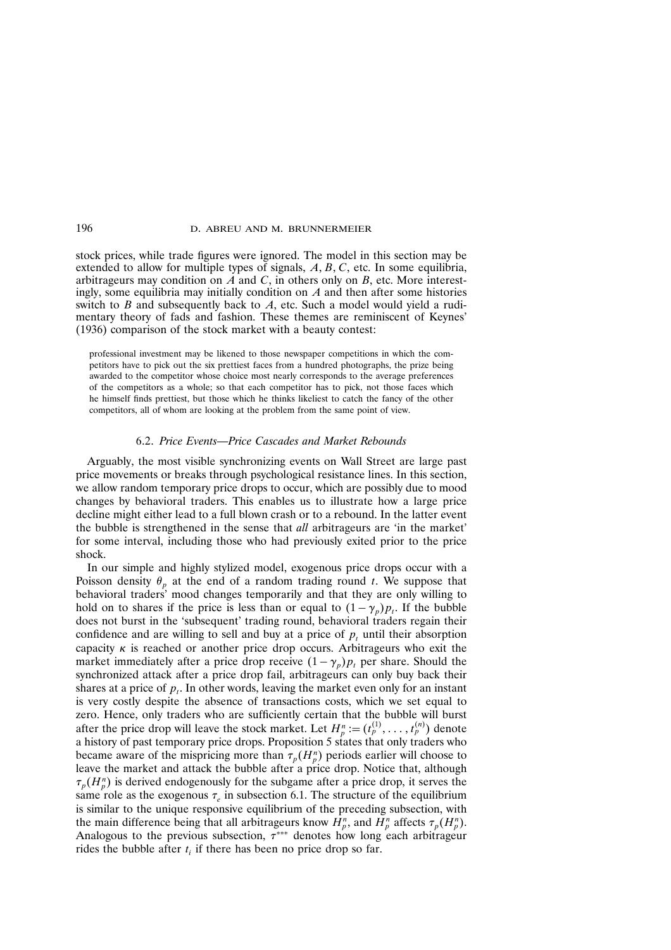stock prices, while trade figures were ignored. The model in this section may be extended to allow for multiple types of signals,  $A, B, C$ , etc. In some equilibria, arbitrageurs may condition on  $\overline{A}$  and  $\overline{C}$ , in others only on  $\overline{B}$ , etc. More interestingly, some equilibria may initially condition on  $A$  and then after some histories switch to  $B$  and subsequently back to  $A$ , etc. Such a model would yield a rudimentary theory of fads and fashion. These themes are reminiscent of Keynes' (1936) comparison of the stock market with a beauty contest:

professional investment may be likened to those newspaper competitions in which the competitors have to pick out the six prettiest faces from a hundred photographs, the prize being awarded to the competitor whose choice most nearly corresponds to the average preferences of the competitors as a whole; so that each competitor has to pick, not those faces which he himself finds prettiest, but those which he thinks likeliest to catch the fancy of the other competitors, all of whom are looking at the problem from the same point of view.

### 6.2. Price Events—Price Cascades and Market Rebounds

Arguably, the most visible synchronizing events on Wall Street are large past price movements or breaks through psychological resistance lines. In this section, we allow random temporary price drops to occur, which are possibly due to mood changes by behavioral traders. This enables us to illustrate how a large price decline might either lead to a full blown crash or to a rebound. In the latter event the bubble is strengthened in the sense that all arbitrageurs are 'in the market' for some interval, including those who had previously exited prior to the price shock.

In our simple and highly stylized model, exogenous price drops occur with a Poisson density  $\theta_p$  at the end of a random trading round t. We suppose that behavioral traders' mood changes temporarily and that they are only willing to hold on to shares if the price is less than or equal to  $(1 - \gamma_p)p_t$ . If the bubble does not burst in the 'subsequent' trading round, behavioral traders regain their confidence and are willing to sell and buy at a price of  $p_t$  until their absorption capacity  $\kappa$  is reached or another price drop occurs. Arbitrageurs who exit the market immediately after a price drop receive  $(1-\gamma_p)p_t$  per share. Should the synchronized attack after a price drop fail, arbitrageurs can only buy back their shares at a price of  $p_t$ . In other words, leaving the market even only for an instant is very costly despite the absence of transactions costs, which we set equal to zero. Hence, only traders who are sufficiently certain that the bubble will burst after the price drop will leave the stock market. Let  $H_p^n := (t_p^{(1)}, \ldots, t_p^{(n)})$  denote a history of past temporary price drops. Proposition 5 states that only traders who became aware of the mispricing more than  $\tau_p(H_p^n)$  periods earlier will choose to leave the market and attack the bubble after a price drop. Notice that, although  $\tau_p(H_p^n)$  is derived endogenously for the subgame after a price drop, it serves the same role as the exogenous  $\tau_e$  in subsection 6.1. The structure of the equilibrium is similar to the unique responsive equilibrium of the preceding subsection, with the main difference being that all arbitrageurs know  $H_p^n$ , and  $H_p^n$  affects  $\tau_p(H_p^n)$ . Analogous to the previous subsection,  $\tau^{***}$  denotes how long each arbitrageur rides the bubble after  $t_i$  if there has been no price drop so far.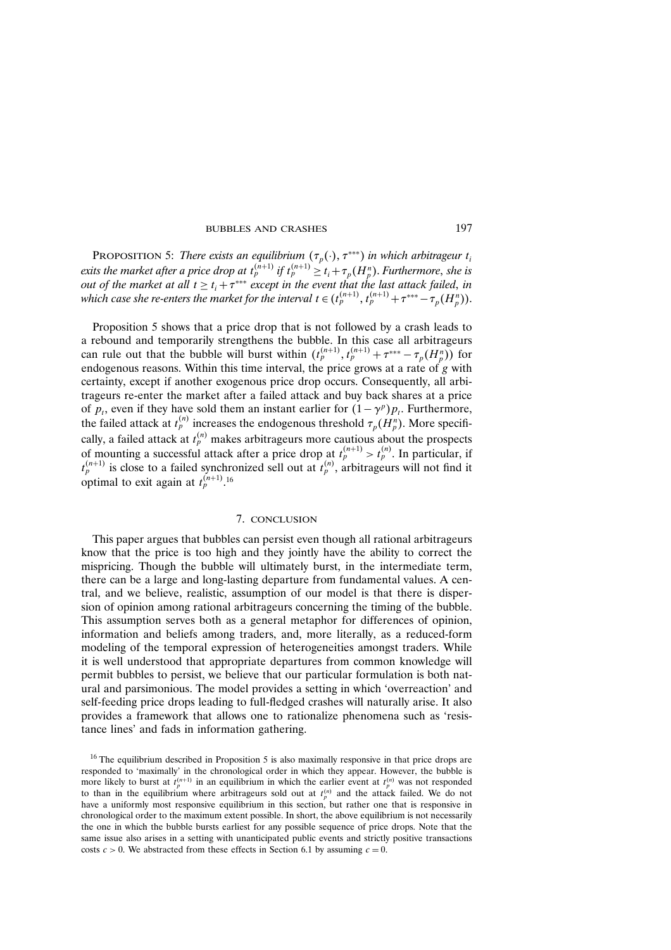PROPOSITION 5: There exists an equilibrium  $(\tau_p(\cdot), \tau^{***})$  in which arbitrageur t<sub>i</sub> exits the market after a price drop at  $t_p^{(n+1)}$  if  $t_p^{(n+1)} \ge t_i + \tau_p(H_p^n)$ . Furthermore, she is out of the market at all  $t \ge t_i + \tau^{***}$  except in the event that the last attack failed, in which case she re-enters the market for the interval  $t \in (t_p^{(n+1)}, t_p^{(n+1)} + \tau^{***} - \tau_p(H_p^n)).$ 

Proposition 5 shows that a price drop that is not followed by a crash leads to a rebound and temporarily strengthens the bubble. In this case all arbitrageurs can rule out that the bubble will burst within  $(t_p^{(n+1)}, t_p^{(n+1)} + \tau^{***} - \tau_p(H_p^n))$  for endogenous reasons. Within this time interval, the price grows at a rate of  $g$  with certainty, except if another exogenous price drop occurs. Consequently, all arbitrageurs re-enter the market after a failed attack and buy back shares at a price of p<sub>t</sub>, even if they have sold them an instant earlier for  $(1-\gamma^p)p_t$ . Furthermore, the failed attack at  $t_p^{(n)}$  increases the endogenous threshold  $\tau_p(H_p^n)$ . More specifically, a failed attack at  $t_p^{(n)}$  makes arbitrageurs more cautious about the prospects of mounting a successful attack after a price drop at  $t_p^{(n+1)} > t_p^{(n)}$ . In particular, if  $t_p^{(n+1)}$  is close to a failed synchronized sell out at  $t_p^{(n)}$ , arbitrageurs will not find it optimal to exit again at  $t_p^{(n+1)}$ .<sup>16</sup>

## 7. CONCLUSION

This paper argues that bubbles can persist even though all rational arbitrageurs know that the price is too high and they jointly have the ability to correct the mispricing. Though the bubble will ultimately burst, in the intermediate term, there can be a large and long-lasting departure from fundamental values. A central, and we believe, realistic, assumption of our model is that there is dispersion of opinion among rational arbitrageurs concerning the timing of the bubble. This assumption serves both as a general metaphor for differences of opinion, information and beliefs among traders, and, more literally, as a reduced-form modeling of the temporal expression of heterogeneities amongst traders. While it is well understood that appropriate departures from common knowledge will permit bubbles to persist, we believe that our particular formulation is both natural and parsimonious. The model provides a setting in which 'overreaction' and self-feeding price drops leading to full-fledged crashes will naturally arise. It also provides a framework that allows one to rationalize phenomena such as 'resistance lines' and fads in information gathering.

<sup>&</sup>lt;sup>16</sup> The equilibrium described in Proposition 5 is also maximally responsive in that price drops are responded to 'maximally' in the chronological order in which they appear. However, the bubble is more likely to burst at  $t_p^{(n+1)}$  in an equilibrium in which the earlier event at  $t_p^{(n)}$  was not responded to than in the equilibrium where arbitrageurs sold out at  $t_p^{(n)}$  and the attack failed. We do not have a uniformly most responsive equilibrium in this section, but rather one that is responsive in chronological order to the maximum extent possible. In short, the above equilibrium is not necessarily the one in which the bubble bursts earliest for any possible sequence of price drops. Note that the same issue also arises in a setting with unanticipated public events and strictly positive transactions costs  $c > 0$ . We abstracted from these effects in Section 6.1 by assuming  $c = 0$ .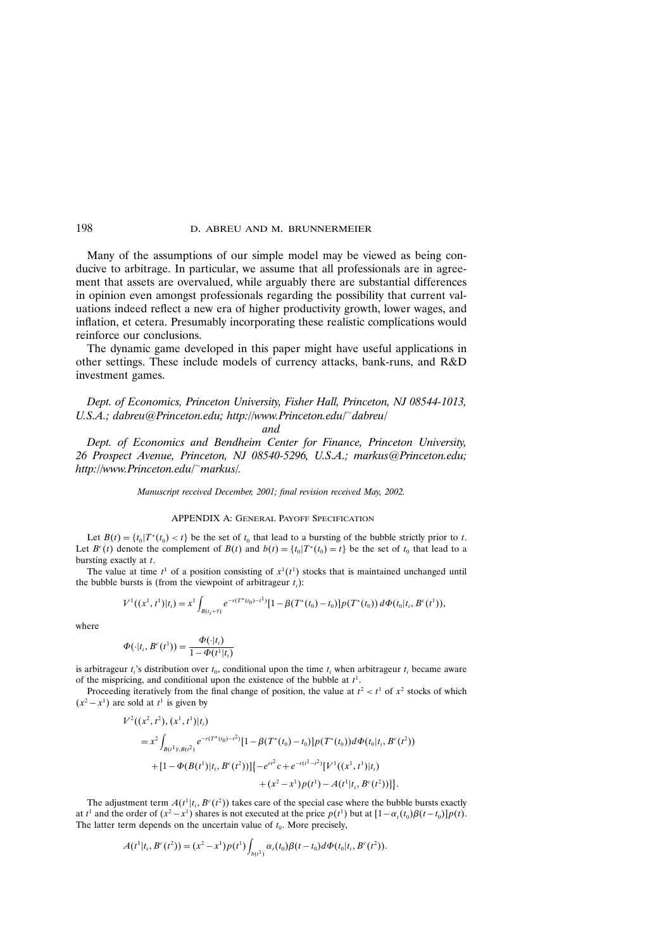Many of the assumptions of our simple model may be viewed as being conducive to arbitrage. In particular, we assume that all professionals are in agreement that assets are overvalued, while arguably there are substantial differences in opinion even amongst professionals regarding the possibility that current valuations indeed reflect a new era of higher productivity growth, lower wages, and inflation, et cetera. Presumably incorporating these realistic complications would reinforce our conclusions.

The dynamic game developed in this paper might have useful applications in other settings. These include models of currency attacks, bank-runs, and R&D investment games.

Dept. of Economics, Princeton University, Fisher Hall, Princeton, NJ 08544-1013, U.S.A.; dabreu@Princeton.edu; http://www.Princeton.edu/∼dabreu/

and

Dept. of Economics and Bendheim Center for Finance, Princeton University, 26 Prospect Avenue, Princeton, NJ 08540-5296, U.S.A.; markus@Princeton.edu; http://www.Princeton.edu/∼markus/.

Manuscript received December, 2001; final revision received May, 2002.

#### APPENDIX A: General Payoff Specification

Let  $B(t) = \{t_0 | T^*(t_0) < t\}$  be the set of  $t_0$  that lead to a bursting of the bubble strictly prior to t. Let  $B^{c}(t)$  denote the complement of  $B(t)$  and  $b(t) = \{t_0 | T^{*}(t_0) = t\}$  be the set of  $t_0$  that lead to a bursting exactly at  $t$ .

The value at time  $t<sup>1</sup>$  of a position consisting of  $x<sup>1</sup>(t<sup>1</sup>)$  stocks that is maintained unchanged until the bubble bursts is (from the viewpoint of arbitrageur  $t_i$ ):

$$
V^1((x^1, t^1)|t_i) = x^1 \int_{B(t_i+\tilde{\tau})} e^{-r(T^*(t_0)-t^1)} [1 - \beta(T^*(t_0) - t_0)] p(T^*(t_0)) d\Phi(t_0|t_i, B^c(t^1)),
$$

where

$$
\Phi(\cdot|t_i, B^c(t^1)) = \frac{\Phi(\cdot|t_i)}{1 - \Phi(t^1|t_i)}
$$

is arbitrageur  $t_i$ 's distribution over  $t_0$ , conditional upon the time  $t_i$  when arbitrageur  $t_i$  became aware of the mispricing, and conditional upon the existence of the bubble at  $t^1$ .

Proceeding iteratively from the final change of position, the value at  $t^2 < t^1$  of  $x^2$  stocks of which  $(x<sup>2</sup> - x<sup>1</sup>)$  are sold at  $t<sup>1</sup>$  is given by

$$
V^{2}((x^{2},t^{2}), (x^{1},t^{1})|t_{i})
$$
\n
$$
= x^{2} \int_{B(t^{1})\setminus B(t^{2})} e^{-r(T^{*}(t_{0})-t^{2})} [1 - \beta(T^{*}(t_{0})-t_{0})] p(T^{*}(t_{0})) d\Phi(t_{0}|t_{i}, B^{c}(t^{2}))
$$
\n
$$
+ [1 - \Phi(B(t^{1})|t_{i}, B^{c}(t^{2}))] \{-e^{rt^{2}}c + e^{-r(t^{1}-t^{2})}[V^{1}((x^{1},t^{1})|t_{i}) + (x^{2}-x^{1})p(t^{1}) - A(t^{1}|t_{i}, B^{c}(t^{2}))]\}.
$$

The adjustment term  $A(t^1|t_i, B^c(t^2))$  takes care of the special case where the bubble bursts exactly at  $t^1$  and the order of  $(x^2 - x^1)$  shares is not executed at the price  $p(t^1)$  but at  $[1 - \alpha_t(t_0)\beta(t - t_0)]p(t)$ . The latter term depends on the uncertain value of  $t_0$ . More precisely,

$$
A(t^1|t_i, B^c(t^2)) = (x^2 - x^1)p(t^1)\int_{b(t^1)}\alpha_t(t_0)\beta(t - t_0)d\Phi(t_0|t_i, B^c(t^2)).
$$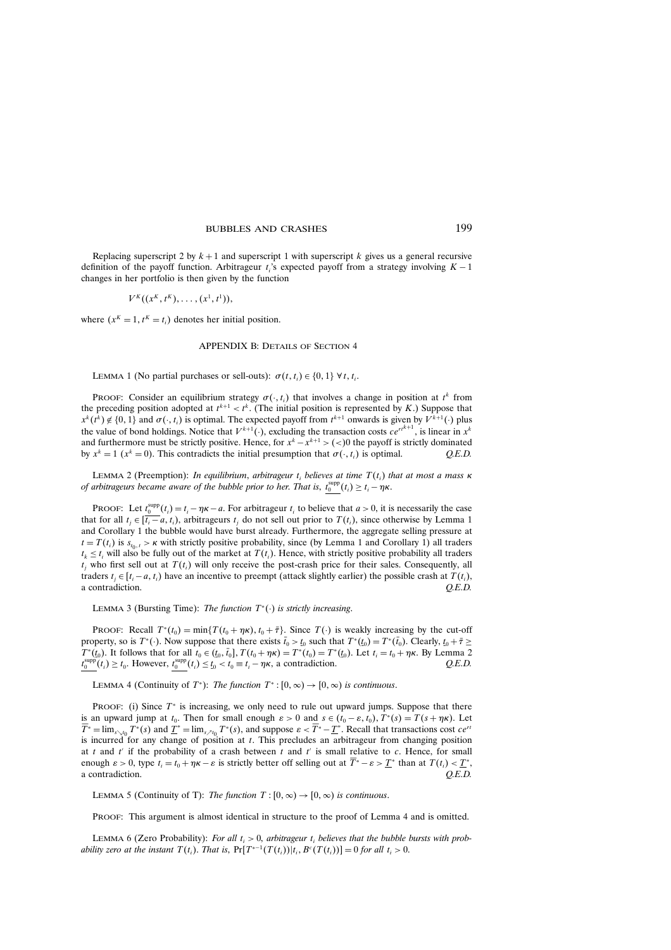Replacing superscript 2 by  $k + 1$  and superscript 1 with superscript k gives us a general recursive definition of the payoff function. Arbitrageur t<sub>i</sub>'s expected payoff from a strategy involving  $K - 1$ changes in her portfolio is then given by the function

$$
V^K((x^K, t^K), \ldots, (x^1, t^1)),
$$

where  $(x^K = 1, t^K = t_i)$  denotes her initial position.

#### APPENDIX B: DETAILS OF SECTION 4

LEMMA 1 (No partial purchases or sell-outs):  $\sigma(t, t_i) \in \{0, 1\} \ \forall t, t_i$ .

PROOF: Consider an equilibrium strategy  $\sigma(\cdot, t_i)$  that involves a change in position at  $t^k$  from the preceding position adopted at  $t^{k+1} < t^k$ . (The initial position is represented by K.) Suppose that  $x^k(t^k) \notin \{0, 1\}$  and  $\sigma(\cdot, t_i)$  is optimal. The expected payoff from  $t^{k+1}$  onwards is given by  $V^{k+1}(\cdot)$  plus the value of bond holdings. Notice that  $V^{k+1}(\cdot)$ , excluding the transaction costs  $ce^{rt^{k+1}}$ , is linear in  $x^k$ and furthermore must be strictly positive. Hence, for  $x^k - x^{k+1} > (<)0$  the payoff is strictly dominated by  $x^k = 1$  ( $x^k = 0$ ). This contradicts the initial presumption that  $\sigma(\cdot, t_i)$  is optimal. *O.E.D.* by  $x^k = 1$  ( $x^k = 0$ ). This contradicts the initial presumption that  $\sigma(\cdot, t)$  is optimal.

LEMMA 2 (Preemption): In equilibrium, arbitrageur  $t_i$  believes at time  $T(t_i)$  that at most a mass  $\kappa$ of arbitrageurs became aware of the bubble prior to her. That is,  $t_0^{\text{supp}}(t_i) \ge t_i - \eta \kappa$ .

PROOF: Let  $t_0^{\text{supp}}(t_i) = t_i - \eta \kappa - a$ . For arbitrageur  $t_i$  to believe that  $a > 0$ , it is necessarily the case that for all  $t_i \in [\overline{t_i - a}, t_i]$ , arbitrageurs  $t_i$  do not sell out prior to  $T(t_i)$ , since otherwise by Lemma 1 and Corollary 1 the bubble would have burst already. Furthermore, the aggregate selling pressure at  $t = T(t_i)$  is  $s_{t_0,t} > \kappa$  with strictly positive probability, since (by Lemma 1 and Corollary 1) all traders  $t_k \leq t_i$  will also be fully out of the market at  $T(t_i)$ . Hence, with strictly positive probability all traders  $t_i$ , who first sell out at  $T(t_i)$  will only receive the post-crash price for their sales. Consequently, all traders  $t_j \in [t_i - a, t_i)$  have an incentive to preempt (attack slightly earlier) the possible crash at  $T(t_i)$ , a contradiction. *O.E.D.* a contradiction.

LEMMA 3 (Bursting Time): The function  $T^*(\cdot)$  is strictly increasing.

PROOF: Recall  $T^*(t_0) = \min\{T(t_0 + \eta\kappa), t_0 + \bar{\tau}\}\)$ . Since  $T(\cdot)$  is weakly increasing by the cut-off property, so is  $T^*(\cdot)$ . Now suppose that there exists  $\bar{t}_0 > t_0$  such that  $T^*(t_0) = T^*(\bar{t}_0)$ . Clearly,  $t_0 + \bar{\tau} \geq$  $T^*(t_0)$ . It follows that for all  $t_0 \in (t_0, \bar{t}_0], T(t_0 + \eta \kappa) = T^*(t_0) = T^*(t_0)$ . Let  $t_i = t_0 + \eta \kappa$ . By Lemma 2  $t_0^{\text{supp}}(t_i) \ge t_0$ . However,  $t_0^{\text{supp}}(t_i) \le t_0 < t_0 \equiv t_i - \eta \kappa$ , a contradiction. Q.E.D.

LEMMA 4 (Continuity of T<sup>\*</sup>): The function  $T^*$ :  $[0, \infty) \rightarrow [0, \infty)$  is continuous.

PROOF: (i) Since  $T^*$  is increasing, we only need to rule out upward jumps. Suppose that there is an upward jump at  $t_0$ . Then for small enough  $\varepsilon > 0$  and  $s \in (t_0 - \varepsilon, t_0)$ ,  $T^*(s) = T(s + \eta \kappa)$ . Let  $T^* = \lim_{s \searrow t_0} T^*(s)$  and  $T^* = \lim_{s \nearrow t_0} T^*(s)$ , and suppose  $\varepsilon < T^* - T^*$ . Recall that transactions cost  $ce^{rt}$ is incurred for any change of position at  $t$ . This precludes an arbitrageur from changing position at t and t' if the probability of a crash between t and t' is small relative to c. Hence, for small enough  $\varepsilon > 0$ , type  $t_i = t_0 + \eta \kappa - \varepsilon$  is strictly better off selling out at  $T^* - \varepsilon > \underline{T}^*$  than at  $T(t_i) < \underline{T}^*$ , a contradiction. Q.E.D.

LEMMA 5 (Continuity of T): The function  $T : [0, \infty) \to [0, \infty)$  is continuous.

PROOF: This argument is almost identical in structure to the proof of Lemma 4 and is omitted.

LEMMA 6 (Zero Probability): For all  $t_i > 0$ , arbitrageur  $t_i$  believes that the bubble bursts with probability zero at the instant  $T(t_i)$ . That is,  $Pr[T^{*-1}(T(t_i))]t_i, B^c(T(t_i))] = 0$  for all  $t_i > 0$ .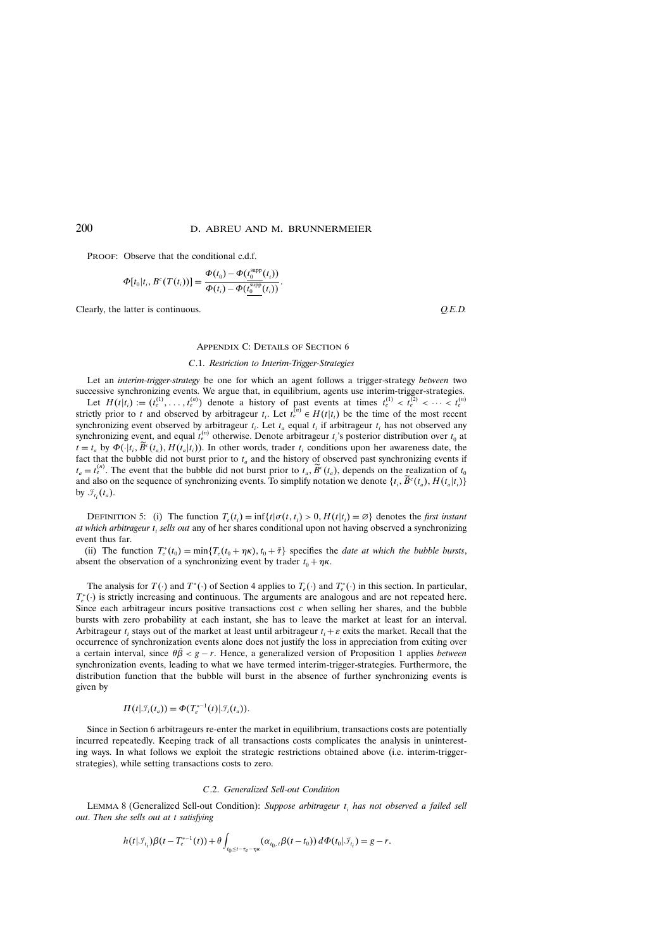PROOF: Observe that the conditional c.d.f.

$$
\Phi[t_0|t_i, B^c(T(t_i))] = \frac{\Phi(t_0) - \Phi(t_0^{\text{supp}}(t_i))}{\Phi(t_i) - \Phi(t_0^{\text{supp}}(t_i))}.
$$

Clearly, the latter is continuous.  $Q.E.D.$ 

#### Appendix C: Details of Section 6

#### C.1. Restriction to Interim-Trigger-Strategies

Let an *interim-trigger-strategy* be one for which an agent follows a trigger-strategy between two successive synchronizing events. We argue that, in equilibrium, agents use interim-trigger-strategies. Let  $H(t|t_i) := (t_e^{(1)}, \ldots, t_e^{(n)})$  denote a history of past events at times  $t_e^{(1)} < t_e^{(2)} < \cdots < t_e^{(n)}$ strictly prior to t and observed by arbitrageur  $t_i$ . Let  $t_i^{(n)} \in H(t|t_i)$  be the time of the most recent synchronizing event observed by arbitrageur  $t_i$ . Let  $t_a$  equal  $t_i$  if arbitrageur  $t_i$  has not observed any synchronizing event, and equal  $t_e^{(n)}$  otherwise. Denote arbitrageur  $t_i$ 's posterior distribution over  $t_0$  at  $t = t_a$  by  $\Phi(\cdot | t_i, B^c(t_a), H(t_a | t_i))$ . In other words, trader  $t_i$  conditions upon her awareness date, the fact that the bubble did not burst prior to  $t_a$  and the history of observed past synchronizing events if  $t_a = t_e^{(n)}$ . The event that the bubble did not burst prior to  $t_a$ ,  $\widetilde{B}^c(t_a)$ , depends on the realization of  $t_0$ 

DEFINITION 5: (i) The function  $T_e(t_i) = \inf\{t | \sigma(t, t_i) > 0, H(t_i | t_i) = \emptyset\}$  denotes the first instant at which arbitrageur  $t_i$  sells out any of her shares conditional upon not having observed a synchronizing event thus far.

and also on the sequence of synchronizing events. To simplify notation we denote  $\{t_i, B^c(t_a), H(t_a|t_i)\}$ 

(ii) The function  $T_e^*(t_0) = \min\{T_e(t_0 + \eta\kappa), t_0 + \bar{\tau}\}\)$  specifies the *date at which the bubble bursts*, absent the observation of a synchronizing event by trader  $t_0 + \eta \kappa$ .

The analysis for  $T(\cdot)$  and  $T^*(\cdot)$  of Section 4 applies to  $T_e(\cdot)$  and  $T_e^*(\cdot)$  in this section. In particular,  $T_e^*(\cdot)$  is strictly increasing and continuous. The arguments are analogous and are not repeated here. Since each arbitrageur incurs positive transactions cost  $c$  when selling her shares, and the bubble bursts with zero probability at each instant, she has to leave the market at least for an interval. Arbitrageur  $t_i$  stays out of the market at least until arbitrageur  $t_i + \varepsilon$  exits the market. Recall that the occurrence of synchronization events alone does not justify the loss in appreciation from exiting over a certain interval, since  $\theta\beta < g-r$ . Hence, a generalized version of Proposition 1 applies between synchronization events, leading to what we have termed interim-trigger-strategies. Furthermore, the distribution function that the bubble will burst in the absence of further synchronizing events is given by

$$
\Pi(t|\mathcal{F}_i(t_a)) = \Phi(T_e^{*-1}(t)|\mathcal{F}_i(t_a)).
$$

Since in Section 6 arbitrageurs re-enter the market in equilibrium, transactions costs are potentially incurred repeatedly. Keeping track of all transactions costs complicates the analysis in uninteresting ways. In what follows we exploit the strategic restrictions obtained above (i.e. interim-triggerstrategies), while setting transactions costs to zero.

#### C.2. Generalized Sell-out Condition

LEMMA 8 (Generalized Sell-out Condition): Suppose arbitrageur  $t_i$  has not observed a failed sell out. Then she sells out at t satisfying

$$
h(t|\mathcal{I}_{i})\beta(t-T_e^{*-1}(t))+\theta\int_{t_0\leq t-\tau_e-\eta\kappa}(\alpha_{t_0,t}\beta(t-t_0))\,d\Phi(t_0|\mathcal{I}_{i_1})=g-r.
$$

by  $\mathcal{F}_{t_i}(t_a)$ .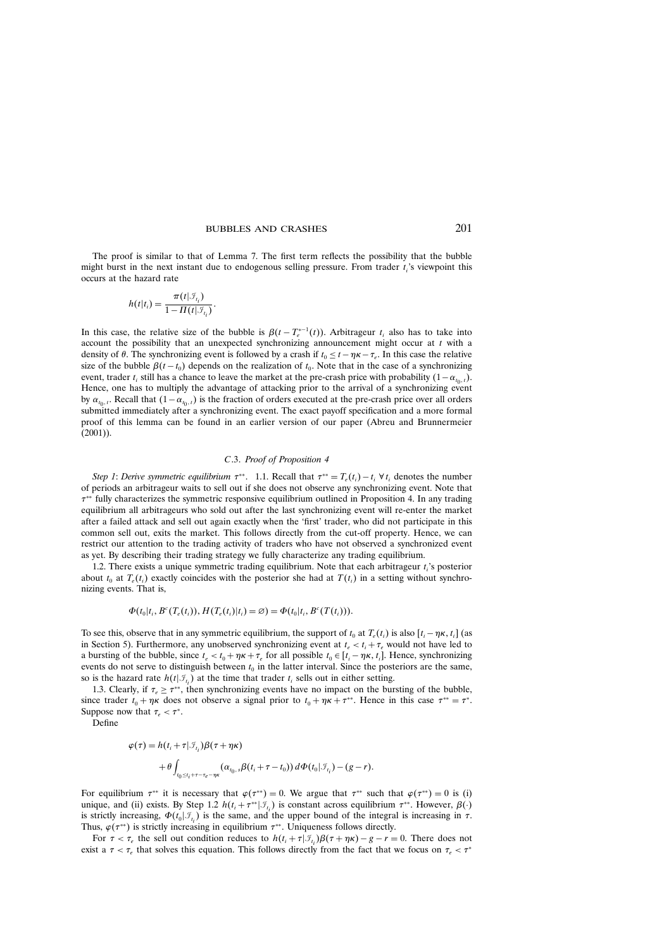The proof is similar to that of Lemma 7. The first term reflects the possibility that the bubble might burst in the next instant due to endogenous selling pressure. From trader  $t_i$ 's viewpoint this occurs at the hazard rate

$$
h(t|t_i) = \frac{\pi(t|\mathcal{I}_{t_i})}{1 - \Pi(t|\mathcal{I}_{t_i})}.
$$

In this case, the relative size of the bubble is  $\beta(t - T_e^{*-1}(t))$ . Arbitrageur  $t_i$  also has to take into account the possibility that an unexpected synchronizing announcement might occur at t with a density of  $\theta$ . The synchronizing event is followed by a crash if  $t_0 \le t - \eta \kappa - \tau_e$ . In this case the relative size of the bubble  $\beta(t-t_0)$  depends on the realization of  $t_0$ . Note that in the case of a synchronizing event, trader  $t_i$  still has a chance to leave the market at the pre-crash price with probability  $(1 - \alpha_{t_0, t})$ . Hence, one has to multiply the advantage of attacking prior to the arrival of a synchronizing event by  $\alpha_{t_0,t}$ . Recall that  $(1-\alpha_{t_0,t})$  is the fraction of orders executed at the pre-crash price over all orders submitted immediately after a synchronizing event. The exact payoff specification and a more formal proof of this lemma can be found in an earlier version of our paper (Abreu and Brunnermeier (2001)).

#### C.3. Proof of Proposition 4

Step 1: Derive symmetric equilibrium  $\tau^{**}$ . 1.1. Recall that  $\tau^{**} = T_e(t_i) - t_i \forall t_i$  denotes the number of periods an arbitrageur waits to sell out if she does not observe any synchronizing event. Note that ∗∗ fully characterizes the symmetric responsive equilibrium outlined in Proposition 4. In any trading equilibrium all arbitrageurs who sold out after the last synchronizing event will re-enter the market after a failed attack and sell out again exactly when the 'first' trader, who did not participate in this common sell out, exits the market. This follows directly from the cut-off property. Hence, we can restrict our attention to the trading activity of traders who have not observed a synchronized event as yet. By describing their trading strategy we fully characterize any trading equilibrium.

1.2. There exists a unique symmetric trading equilibrium. Note that each arbitrageur  $t_i$ 's posterior about  $t_0$  at  $T_e(t_i)$  exactly coincides with the posterior she had at  $T(t_i)$  in a setting without synchronizing events. That is,

$$
\Phi(t_0|t_i, B^c(T_e(t_i)), H(T_e(t_i)|t_i) = \varnothing) = \Phi(t_0|t_i, B^c(T(t_i))).
$$

To see this, observe that in any symmetric equilibrium, the support of  $t_0$  at  $T_e(t_i)$  is also  $[t_i - \eta \kappa, t_i]$  (as in Section 5). Furthermore, any unobserved synchronizing event at  $t_e < t_i + \tau_e$  would not have led to a bursting of the bubble, since  $t_e < t_0 + \eta \kappa + \tau_e$  for all possible  $t_0 \in [t_i - \eta \kappa, t_i]$ . Hence, synchronizing events do not serve to distinguish between  $t_0$  in the latter interval. Since the posteriors are the same, so is the hazard rate  $h(t|\mathcal{I}_{t_i})$  at the time that trader  $t_i$  sells out in either setting.

1.3. Clearly, if  $\tau_e \ge \tau^{**}$ , then synchronizing events have no impact on the bursting of the bubble, since trader  $t_0 + \eta \kappa$  does not observe a signal prior to  $t_0 + \eta \kappa + \tau^{**}$ . Hence in this case  $\tau^{**} = \tau^*$ . Suppose now that  $\tau_{e} < \tau^{*}$ .

Define

$$
\varphi(\tau) = h(t_i + \tau | \mathcal{I}_{t_i}) \beta(\tau + \eta \kappa)
$$
  
+ 
$$
\theta \int_{t_0 \le t_i + \tau - \tau_e - \eta \kappa} (\alpha_{t_0, s} \beta(t_i + \tau - t_0)) d\Phi(t_0 | \mathcal{I}_{t_i}) - (g - r).
$$

For equilibrium  $\tau^{**}$  it is necessary that  $\varphi(\tau^{**}) = 0$ . We argue that  $\tau^{**}$  such that  $\varphi(\tau^{**}) = 0$  is (i) unique, and (ii) exists. By Step 1.2  $h(t_i + \tau^{**} | \mathcal{I}_{t_i})$  is constant across equilibrium  $\tau^{**}$ . However,  $\beta(\cdot)$ is strictly increasing,  $\Phi(t_0|\mathcal{I}_{t_i})$  is the same, and the upper bound of the integral is increasing in  $\tau$ . Thus,  $\varphi(\tau^{**})$  is strictly increasing in equilibrium  $\tau^{**}$ . Uniqueness follows directly.

For  $\tau < \tau_e$  the sell out condition reduces to  $h(t_i + \tau | \mathcal{I}_{t_i}) \beta(\tau + \eta \kappa) - g - r = 0$ . There does not exist a  $\tau < \tau_e$  that solves this equation. This follows directly from the fact that we focus on  $\tau_e < \tau^*$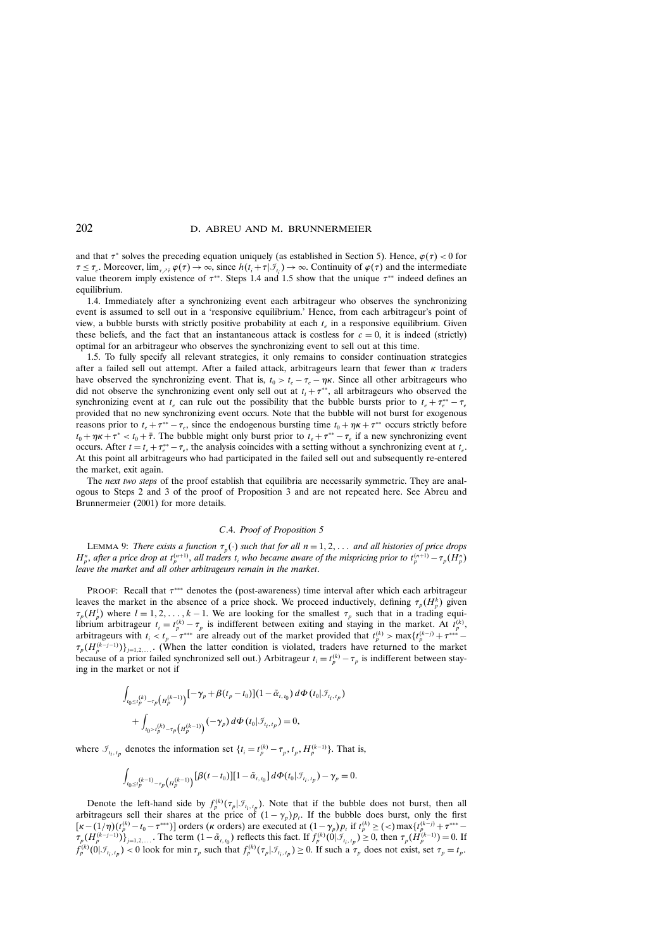and that  $\tau^*$  solves the preceding equation uniquely (as established in Section 5). Hence,  $\varphi(\tau) < 0$  for  $\tau \leq \tau_e$ . Moreover,  $\lim_{\tau \nearrow \bar{\tau}} \varphi(\tau) \to \infty$ , since  $h(t_i + \tau | \mathcal{I}_{t_i}) \to \infty$ . Continuity of  $\varphi(\tau)$  and the intermediate value theorem imply existence of  $\tau^{**}$ . Steps 1.4 and 1.5 show that the unique  $\tau^{**}$  indeed defines an equilibrium.

1.4. Immediately after a synchronizing event each arbitrageur who observes the synchronizing event is assumed to sell out in a 'responsive equilibrium.' Hence, from each arbitrageur's point of view, a bubble bursts with strictly positive probability at each  $t_e$  in a responsive equilibrium. Given these beliefs, and the fact that an instantaneous attack is costless for  $c = 0$ , it is indeed (strictly) optimal for an arbitrageur who observes the synchronizing event to sell out at this time.

1.5. To fully specify all relevant strategies, it only remains to consider continuation strategies after a failed sell out attempt. After a failed attack, arbitrageurs learn that fewer than  $\kappa$  traders have observed the synchronizing event. That is,  $t_0 > t_e - \tau_e - \eta \kappa$ . Since all other arbitrageurs who did not observe the synchronizing event only sell out at  $t_i + \tau^{**}$ , all arbitrageurs who observed the synchronizing event at  $t_e$  can rule out the possibility that the bubble bursts prior to  $t_e + \tau_e^{**} - \tau_e$ provided that no new synchronizing event occurs. Note that the bubble will not burst for exogenous reasons prior to  $t_e + \tau^{**} - \tau_e$ , since the endogenous bursting time  $t_0 + \eta \kappa + \tau^{**}$  occurs strictly before  $t_0 + \eta \kappa + \tau^* < t_0 + \bar{\tau}$ . The bubble might only burst prior to  $t_e + \tau^{**} - \tau_e$  if a new synchronizing event occurs. After  $t = t_e + \tau_e^{**} - \tau_e$ , the analysis coincides with a setting without a synchronizing event at  $t_e$ . At this point all arbitrageurs who had participated in the failed sell out and subsequently re-entered the market, exit again.

The next two steps of the proof establish that equilibria are necessarily symmetric. They are analogous to Steps 2 and 3 of the proof of Proposition 3 and are not repeated here. See Abreu and Brunnermeier (2001) for more details.

#### C.4. Proof of Proposition 5

LEMMA 9: There exists a function  $\tau_n(\cdot)$  such that for all  $n = 1, 2, \ldots$  and all histories of price drops  $H_p^n$ , after a price drop at  $t_p^{(n+1)}$ , all traders  $t_i$  who became aware of the mispricing prior to  $t_p^{(n+1)} - \tau_p(H_p^n)$ leave the market and all other arbitrageurs remain in the market.

PROOF: Recall that  $\tau^{***}$  denotes the (post-awareness) time interval after which each arbitrageur leaves the market in the absence of a price shock. We proceed inductively, defining  $\tau_p(H_p^k)$  given  $\tau_p(H_p^l)$  where  $l = 1, 2, ..., k - 1$ . We are looking for the smallest  $\tau_p$  such that in a trading equilibrium arbitrageur  $t_i = t_p^{(k)} - \tau_p$  is indifferent between exiting and staying in the market. At  $t_p^{(k)}$ , arbitrageurs with  $t_i < t_p - \tau^{***}$  are already out of the market provided that  $t_p^{(k)} > \max\{t_p^{(k-j)} + \tau^{***} - t_p^{**}\}$  $\{\tau_p(H_p^{(k-j-1)})\}_{j=1,2,...}$  (When the latter condition is violated, traders have returned to the market because of a prior failed synchronized sell out.) Arbitrageur  $t_i = t_p^{(k)} - \tau_p$  is indifferent between staying in the market or not if

$$
\int_{t_0 \le t_p^{(k)} - \tau_p \left( H_p^{(k-1)} \right)} \left[ -\gamma_p + \beta(t_p - t_0) \right] (1 - \tilde{\alpha}_{t, t_0}) d\Phi(t_0 | \mathcal{I}_{t_i, t_p}) + \int_{t_0 > t_p^{(k)} - \tau_p \left( H_p^{(k-1)} \right)} (-\gamma_p) d\Phi(t_0 | \mathcal{I}_{t_i, t_p}) = 0,
$$

where  $\mathcal{F}_{t_i, t_p}$  denotes the information set  $\{t_i = t_p^{(k)} - \tau_p, t_p, H_p^{(k-1)}\}$ . That is,

$$
\int_{t_0\leq t_p^{(k-1)}-\tau_p\left(H_p^{(k-1)}\right)}\big[\beta(t-t_0)\big]\big[1-\tilde{\alpha}_{t,\,t_0}\big]\,d\Phi\big(t_0\big|\mathcal{I}_{t_i,\,t_p}\big)-\gamma_p=0.
$$

Denote the left-hand side by  $f_p^{(k)}(\tau_p | \mathcal{F}_{t_i,t_p})$ . Note that if the bubble does not burst, then all arbitrageurs sell their shares at the price of  $(1 - \gamma_p)p_t$ . If the bubble does burst, only the first  $[\kappa - (1/\eta)(t_p^{(k)} - t_0 - \tau^{***})]$  orders ( $\kappa$  orders) are executed at  $(1 - \gamma_p)p_t$  if  $t_p^{(k)} \geq (\leq) \max\{t_{p}^{(k-j)} + \tau^{***} - t_0\}$  $\{\tau_p(H_p^{(k-j-1)})\}_{j=1,2,...}$ . The term  $(1-\tilde{\alpha}_{t,t_0})$  reflects this fact. If  $f_p^{(k)}(0|\mathcal{I}_{t_1,t_p}) \ge 0$ , then  $\tau_p(H_p^{(k-1)}) = 0$ . If  $f_p^{(k)}(0|\mathcal{I}_{t_i,t_p}) < 0$  look for min  $\tau_p$  such that  $f_p^{(k)}(\tau_p|\mathcal{I}_{t_i,t_p}) \ge 0$ . If such a  $\tau_p$  does not exist, set  $\tau_p = t_p$ .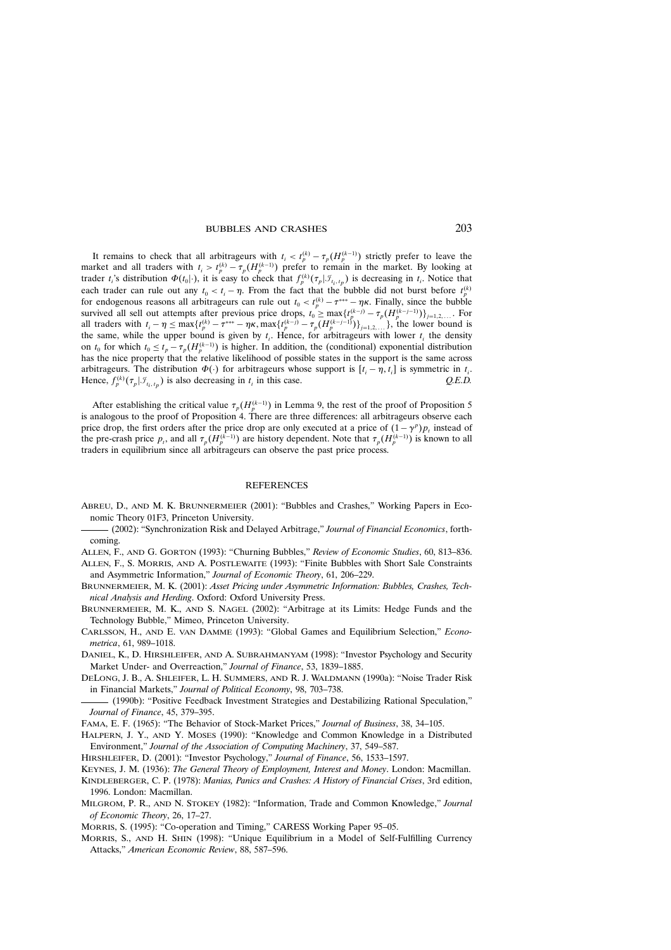### bubbles and crashes 203

It remains to check that all arbitrageurs with  $t_i < t_p^{(k)} - \tau_p(H_p^{(k-1)})$  strictly prefer to leave the market and all traders with  $t_i > t_p^{(k)} - \tau_p(H_p^{(k-1)})$  prefer to remain in the market. By looking at trader  $t_i$ 's distribution  $\Phi(t_0|\cdot)$ , it is easy to check that  $f_p^{(k)}(\tau_p|\mathcal{I}_{t_i,t_p})$  is decreasing in  $t_i$ . Notice that each trader can rule out any  $t_0 < t_i - \eta$ . From the fact that the bubble did not burst before  $t_p^{(k)}$ for endogenous reasons all arbitrageurs can rule out  $t_0 < t_p^{(k)} - \tau^{***} - \eta \kappa$ . Finally, since the bubble survived all sell out attempts after previous price drops,  $t_0 \ge \max\{t_p^{(k-j)} - \tau_p(H_p^{(k-j-1)})\}_{j=1,2,\ldots}$ . For all traders with  $t_i - \eta \le \max\{t_p^{(k)} - \tau^{***} - \eta \kappa, \max\{t_p^{(k-j)} - \tau_p(H_p^{(k-j-1)})\}_{j=1,2,...}\}$ , the lower bound is the same, while the upper bound is given by  $t_i$ . Hence, for arbitrageurs with lower  $t_i$  the density on  $t_0$  for which  $t_0 \le t_p - \tau_p(H_p^{(k-1)})$  is higher. In addition, the (conditional) exponential distribution has the nice property that the relative likelihood of possible states in the support is the same across arbitrageurs. The distribution  $\Phi(\cdot)$  for arbitrageurs whose support is  $[t_i - \eta, t_i]$  is symmetric in  $t_i$ . Hence,  $f_p^{(k)}(\tau_p | \mathcal{F}_{t_i, t_p})$  is also decreasing in  $t_i$  in this case. Q.E.D.

After establishing the critical value  $\tau_p(H_p^{(k-1)})$  in Lemma 9, the rest of the proof of Proposition 5 is analogous to the proof of Proposition 4. There are three differences: all arbitrageurs observe each price drop, the first orders after the price drop are only executed at a price of  $(1-\gamma^p)p_t$  instead of the pre-crash price  $p_t$ , and all  $\tau_p(H_p^{(k-1)})$  are history dependent. Note that  $\tau_p(H_p^{(k-1)})$  is known to all traders in equilibrium since all arbitrageurs can observe the past price process.

#### **REFERENCES**

- Abreu, D., and M. K. Brunnermeier (2001): "Bubbles and Crashes," Working Papers in Economic Theory 01F3, Princeton University.
- (2002): "Synchronization Risk and Delayed Arbitrage," Journal of Financial Economics, forthcoming.
- Allen, F., and G. Gorton (1993): "Churning Bubbles," Review of Economic Studies, 60, 813–836.
- Allen, F., S. Morris, and A. Postlewaite (1993): "Finite Bubbles with Short Sale Constraints and Asymmetric Information," Journal of Economic Theory, 61, 206–229.
- BRUNNERMEIER, M. K. (2001): Asset Pricing under Asymmetric Information: Bubbles, Crashes, Technical Analysis and Herding. Oxford: Oxford University Press.
- BRUNNERMEIER, M. K., AND S. NAGEL (2002): "Arbitrage at its Limits: Hedge Funds and the Technology Bubble," Mimeo, Princeton University.
- Carlsson, H., and E. van Damme (1993): "Global Games and Equilibrium Selection," Econometrica, 61, 989–1018.
- Daniel, K., D. Hirshleifer, and A. Subrahmanyam (1998): "Investor Psychology and Security Market Under- and Overreaction," Journal of Finance, 53, 1839–1885.
- DeLong, J. B., A. Shleifer, L. H. Summers, and R. J. Waldmann (1990a): "Noise Trader Risk in Financial Markets," Journal of Political Economy, 98, 703–738.
- (1990b): "Positive Feedback Investment Strategies and Destabilizing Rational Speculation," Journal of Finance, 45, 379–395.
- Fama, E. F. (1965): "The Behavior of Stock-Market Prices," Journal of Business, 38, 34–105.
- Halpern, J. Y., and Y. Moses (1990): "Knowledge and Common Knowledge in a Distributed Environment," Journal of the Association of Computing Machinery, 37, 549–587.
- HIRSHLEIFER, D. (2001): "Investor Psychology," Journal of Finance, 56, 1533-1597.
- Keynes, J. M. (1936): The General Theory of Employment, Interest and Money. London: Macmillan.
- KINDLEBERGER, C. P. (1978): Manias, Panics and Crashes: A History of Financial Crises, 3rd edition, 1996. London: Macmillan.
- MILGROM, P. R., AND N. STOKEY (1982): "Information, Trade and Common Knowledge," Journal of Economic Theory, 26, 17–27.
- Morris, S. (1995): "Co-operation and Timing," CARESS Working Paper 95–05.
- Morris, S., and H. Shin (1998): "Unique Equilibrium in a Model of Self-Fulfilling Currency Attacks," American Economic Review, 88, 587–596.